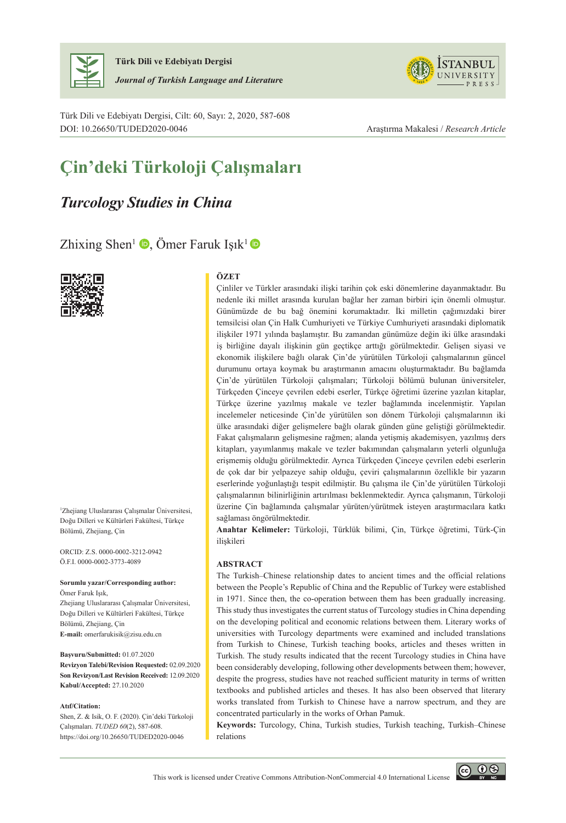

**Türk Dili ve Edebiyatı Dergisi** *Journal of Turkish Language and Literatur***e**

Türk Dili ve Edebiyatı Dergisi, Cilt: 60, Sayı: 2, 2020, 587-608 DOI: 10.26650/TUDED2020-0046 Araştırma Makalesi / *Research Article*



# **Çin'deki Türkoloji Çalışmaları**

# *Turcology Studies in China*

Zhixing Shen<sup>1</sup>  $\bullet$ , Ömer Faruk Işık<sup>1</sup>  $\bullet$ 



1 Zhejiang Uluslararası Çalışmalar Üniversitesi, Doğu Dilleri ve Kültürleri Fakültesi, Türkçe Bölümü, Zhejiang, Çin

ORCID: Z.S. 0000-0002-3212-0942 Ö.F.I. 0000-0002-3773-4089

**Sorumlu yazar/Corresponding author:** Ömer Faruk Işık, Zhejiang Uluslararası Çalışmalar Üniversitesi, Doğu Dilleri ve Kültürleri Fakültesi, Türkçe Bölümü, Zhejiang, Çin **E-mail:** omerfarukisik@zisu.edu.cn

**Başvuru/Submitted:** 01.07.2020 **Revizyon Talebi/Revision Requested:** 02.09.2020 **Son Revizyon/Last Revision Received:** 12.09.2020 **Kabul/Accepted:** 27.10.2020

#### **Atıf/Citation:**

Shen, Z. & Isik, O. F. (2020). Çin'deki Türkoloji Çalışmaları. *TUDED 60*(2), 587-608. https://doi.org/10.26650/TUDED2020-0046

#### **ÖZET**

Çinliler ve Türkler arasındaki ilişki tarihin çok eski dönemlerine dayanmaktadır. Bu nedenle iki millet arasında kurulan bağlar her zaman birbiri için önemli olmuştur. Günümüzde de bu bağ önemini korumaktadır. İki milletin çağımızdaki birer temsilcisi olan Çin Halk Cumhuriyeti ve Türkiye Cumhuriyeti arasındaki diplomatik ilişkiler 1971 yılında başlamıştır. Bu zamandan günümüze değin iki ülke arasındaki iş birliğine dayalı ilişkinin gün geçtikçe arttığı görülmektedir. Gelişen siyasi ve ekonomik ilişkilere bağlı olarak Çin'de yürütülen Türkoloji çalışmalarının güncel durumunu ortaya koymak bu araştırmanın amacını oluşturmaktadır. Bu bağlamda Çin'de yürütülen Türkoloji çalışmaları; Türkoloji bölümü bulunan üniversiteler, Türkçeden Çinceye çevrilen edebi eserler, Türkçe öğretimi üzerine yazılan kitaplar, Türkçe üzerine yazılmış makale ve tezler bağlamında incelenmiştir. Yapılan incelemeler neticesinde Çin'de yürütülen son dönem Türkoloji çalışmalarının iki ülke arasındaki diğer gelişmelere bağlı olarak günden güne geliştiği görülmektedir. Fakat çalışmaların gelişmesine rağmen; alanda yetişmiş akademisyen, yazılmış ders kitapları, yayımlanmış makale ve tezler bakımından çalışmaların yeterli olgunluğa erişmemiş olduğu görülmektedir. Ayrıca Türkçeden Çinceye çevrilen edebi eserlerin de çok dar bir yelpazeye sahip olduğu, çeviri çalışmalarının özellikle bir yazarın eserlerinde yoğunlaştığı tespit edilmiştir. Bu çalışma ile Çin'de yürütülen Türkoloji çalışmalarının bilinirliğinin artırılması beklenmektedir. Ayrıca çalışmanın, Türkoloji üzerine Çin bağlamında çalışmalar yürüten/yürütmek isteyen araştırmacılara katkı sağlaması öngörülmektedir.

**Anahtar Kelimeler:** Türkoloji, Türklük bilimi, Çin, Türkçe öğretimi, Türk-Çin ilişkileri

#### **ABSTRACT**

The Turkish–Chinese relationship dates to ancient times and the official relations between the People's Republic of China and the Republic of Turkey were established in 1971. Since then, the co-operation between them has been gradually increasing. This study thus investigates the current status of Turcology studies in China depending on the developing political and economic relations between them. Literary works of universities with Turcology departments were examined and included translations from Turkish to Chinese, Turkish teaching books, articles and theses written in Turkish. The study results indicated that the recent Turcology studies in China have been considerably developing, following other developments between them; however, despite the progress, studies have not reached sufficient maturity in terms of written textbooks and published articles and theses. It has also been observed that literary works translated from Turkish to Chinese have a narrow spectrum, and they are concentrated particularly in the works of Orhan Pamuk.

**Keywords:** Turcology, China, Turkish studies, Turkish teaching, Turkish–Chinese relations

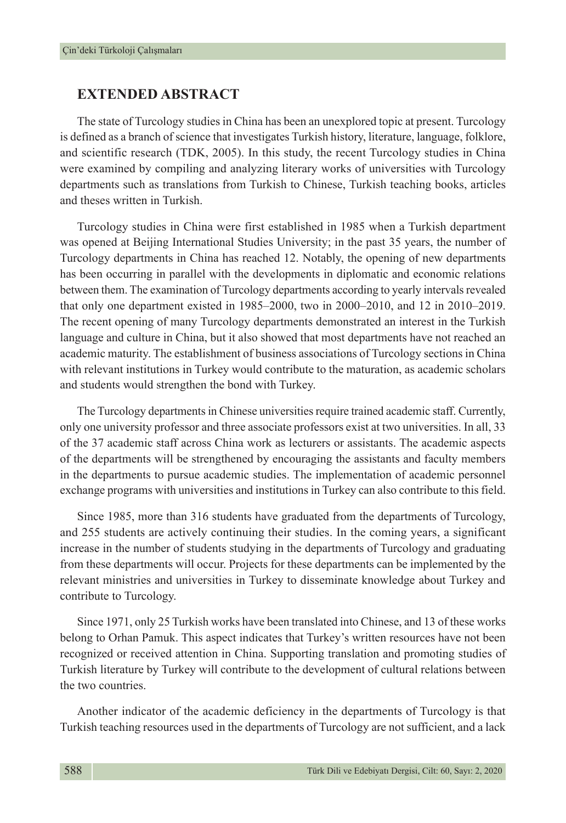### **EXTENDED ABSTRACT**

The state of Turcology studies in China has been an unexplored topic at present. Turcology is defined as a branch of science that investigates Turkish history, literature, language, folklore, and scientific research (TDK, 2005). In this study, the recent Turcology studies in China were examined by compiling and analyzing literary works of universities with Turcology departments such as translations from Turkish to Chinese, Turkish teaching books, articles and theses written in Turkish.

Turcology studies in China were first established in 1985 when a Turkish department was opened at Beijing International Studies University; in the past 35 years, the number of Turcology departments in China has reached 12. Notably, the opening of new departments has been occurring in parallel with the developments in diplomatic and economic relations between them. The examination of Turcology departments according to yearly intervals revealed that only one department existed in 1985–2000, two in 2000–2010, and 12 in 2010–2019. The recent opening of many Turcology departments demonstrated an interest in the Turkish language and culture in China, but it also showed that most departments have not reached an academic maturity. The establishment of business associations of Turcology sections in China with relevant institutions in Turkey would contribute to the maturation, as academic scholars and students would strengthen the bond with Turkey.

The Turcology departments in Chinese universities require trained academic staff. Currently, only one university professor and three associate professors exist at two universities. In all, 33 of the 37 academic staff across China work as lecturers or assistants. The academic aspects of the departments will be strengthened by encouraging the assistants and faculty members in the departments to pursue academic studies. The implementation of academic personnel exchange programs with universities and institutions in Turkey can also contribute to this field.

Since 1985, more than 316 students have graduated from the departments of Turcology, and 255 students are actively continuing their studies. In the coming years, a significant increase in the number of students studying in the departments of Turcology and graduating from these departments will occur. Projects for these departments can be implemented by the relevant ministries and universities in Turkey to disseminate knowledge about Turkey and contribute to Turcology.

Since 1971, only 25 Turkish works have been translated into Chinese, and 13 of these works belong to Orhan Pamuk. This aspect indicates that Turkey's written resources have not been recognized or received attention in China. Supporting translation and promoting studies of Turkish literature by Turkey will contribute to the development of cultural relations between the two countries.

Another indicator of the academic deficiency in the departments of Turcology is that Turkish teaching resources used in the departments of Turcology are not sufficient, and a lack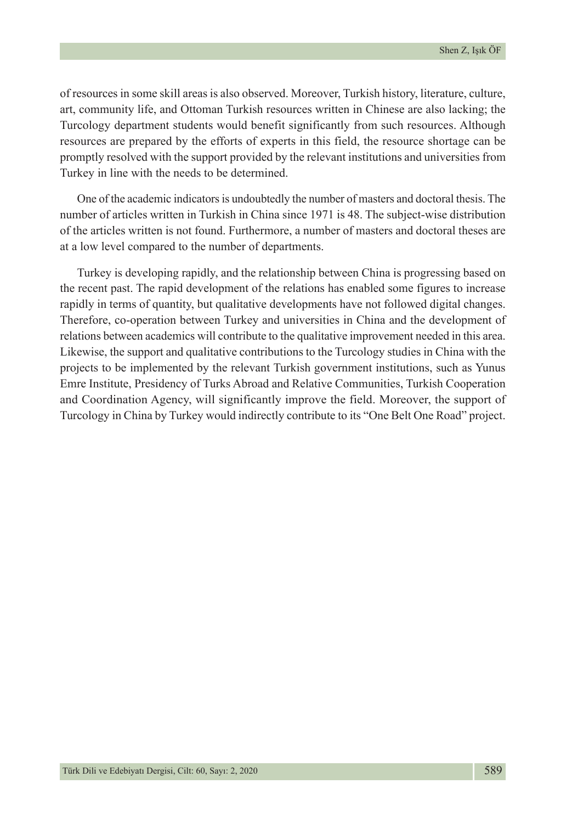of resources in some skill areas is also observed. Moreover, Turkish history, literature, culture, art, community life, and Ottoman Turkish resources written in Chinese are also lacking; the Turcology department students would benefit significantly from such resources. Although resources are prepared by the efforts of experts in this field, the resource shortage can be promptly resolved with the support provided by the relevant institutions and universities from Turkey in line with the needs to be determined.

One of the academic indicators is undoubtedly the number of masters and doctoral thesis. The number of articles written in Turkish in China since 1971 is 48. The subject-wise distribution of the articles written is not found. Furthermore, a number of masters and doctoral theses are at a low level compared to the number of departments.

Turkey is developing rapidly, and the relationship between China is progressing based on the recent past. The rapid development of the relations has enabled some figures to increase rapidly in terms of quantity, but qualitative developments have not followed digital changes. Therefore, co-operation between Turkey and universities in China and the development of relations between academics will contribute to the qualitative improvement needed in this area. Likewise, the support and qualitative contributions to the Turcology studies in China with the projects to be implemented by the relevant Turkish government institutions, such as Yunus Emre Institute, Presidency of Turks Abroad and Relative Communities, Turkish Cooperation and Coordination Agency, will significantly improve the field. Moreover, the support of Turcology in China by Turkey would indirectly contribute to its "One Belt One Road" project.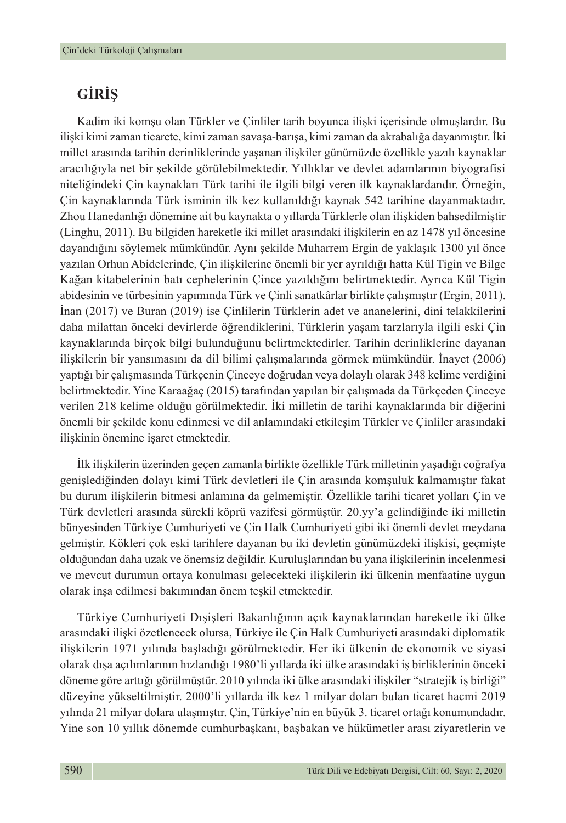# **GİRİŞ**

Kadim iki komşu olan Türkler ve Çinliler tarih boyunca ilişki içerisinde olmuşlardır. Bu ilişki kimi zaman ticarete, kimi zaman savaşa-barışa, kimi zaman da akrabalığa dayanmıştır. İki millet arasında tarihin derinliklerinde yaşanan ilişkiler günümüzde özellikle yazılı kaynaklar aracılığıyla net bir şekilde görülebilmektedir. Yıllıklar ve devlet adamlarının biyografisi niteliğindeki Çin kaynakları Türk tarihi ile ilgili bilgi veren ilk kaynaklardandır. Örneğin, Çin kaynaklarında Türk isminin ilk kez kullanıldığı kaynak 542 tarihine dayanmaktadır. Zhou Hanedanlığı dönemine ait bu kaynakta o yıllarda Türklerle olan ilişkiden bahsedilmiştir (Linghu, 2011). Bu bilgiden hareketle iki millet arasındaki ilişkilerin en az 1478 yıl öncesine dayandığını söylemek mümkündür. Aynı şekilde Muharrem Ergin de yaklaşık 1300 yıl önce yazılan Orhun Abidelerinde, Çin ilişkilerine önemli bir yer ayrıldığı hatta Kül Tigin ve Bilge Kağan kitabelerinin batı cephelerinin Çince yazıldığını belirtmektedir. Ayrıca Kül Tigin abidesinin ve türbesinin yapımında Türk ve Çinli sanatkârlar birlikte çalışmıştır (Ergin, 2011). İnan (2017) ve Buran (2019) ise Çinlilerin Türklerin adet ve ananelerini, dini telakkilerini daha milattan önceki devirlerde öğrendiklerini, Türklerin yaşam tarzlarıyla ilgili eski Çin kaynaklarında birçok bilgi bulunduğunu belirtmektedirler. Tarihin derinliklerine dayanan ilişkilerin bir yansımasını da dil bilimi çalışmalarında görmek mümkündür. İnayet (2006) yaptığı bir çalışmasında Türkçenin Çinceye doğrudan veya dolaylı olarak 348 kelime verdiğini belirtmektedir. Yine Karaağaç (2015) tarafından yapılan bir çalışmada da Türkçeden Çinceye verilen 218 kelime olduğu görülmektedir. İki milletin de tarihi kaynaklarında bir diğerini önemli bir şekilde konu edinmesi ve dil anlamındaki etkileşim Türkler ve Çinliler arasındaki ilişkinin önemine işaret etmektedir.

İlk ilişkilerin üzerinden geçen zamanla birlikte özellikle Türk milletinin yaşadığı coğrafya genişlediğinden dolayı kimi Türk devletleri ile Çin arasında komşuluk kalmamıştır fakat bu durum ilişkilerin bitmesi anlamına da gelmemiştir. Özellikle tarihi ticaret yolları Çin ve Türk devletleri arasında sürekli köprü vazifesi görmüştür. 20.yy'a gelindiğinde iki milletin bünyesinden Türkiye Cumhuriyeti ve Çin Halk Cumhuriyeti gibi iki önemli devlet meydana gelmiştir. Kökleri çok eski tarihlere dayanan bu iki devletin günümüzdeki ilişkisi, geçmişte olduğundan daha uzak ve önemsiz değildir. Kuruluşlarından bu yana ilişkilerinin incelenmesi ve mevcut durumun ortaya konulması gelecekteki ilişkilerin iki ülkenin menfaatine uygun olarak inşa edilmesi bakımından önem teşkil etmektedir.

Türkiye Cumhuriyeti Dışişleri Bakanlığının açık kaynaklarından hareketle iki ülke arasındaki ilişki özetlenecek olursa, Türkiye ile Çin Halk Cumhuriyeti arasındaki diplomatik ilişkilerin 1971 yılında başladığı görülmektedir. Her iki ülkenin de ekonomik ve siyasi olarak dışa açılımlarının hızlandığı 1980'li yıllarda iki ülke arasındaki iş birliklerinin önceki döneme göre arttığı görülmüştür. 2010 yılında iki ülke arasındaki ilişkiler "stratejik iş birliği" düzeyine yükseltilmiştir. 2000'li yıllarda ilk kez 1 milyar doları bulan ticaret hacmi 2019 yılında 21 milyar dolara ulaşmıştır. Çin, Türkiye'nin en büyük 3. ticaret ortağı konumundadır. Yine son 10 yıllık dönemde cumhurbaşkanı, başbakan ve hükümetler arası ziyaretlerin ve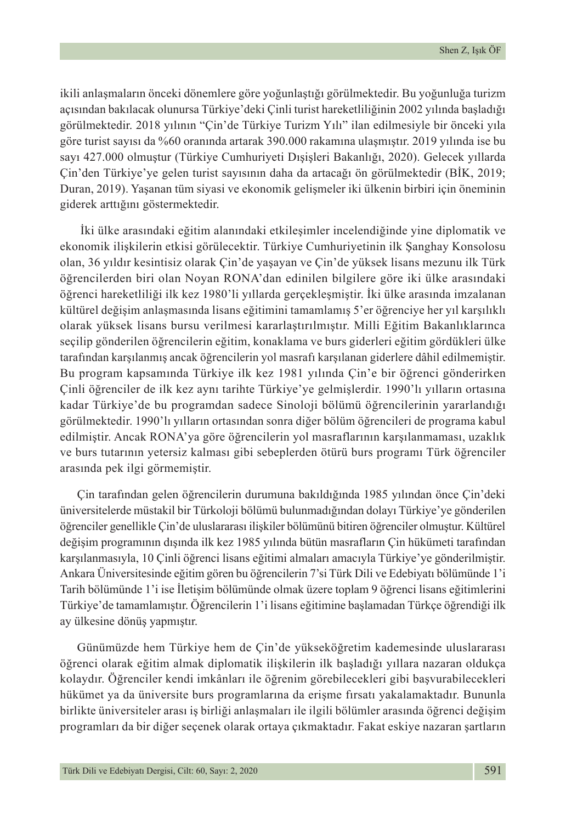ikili anlaşmaların önceki dönemlere göre yoğunlaştığı görülmektedir. Bu yoğunluğa turizm açısından bakılacak olunursa Türkiye'deki Çinli turist hareketliliğinin 2002 yılında başladığı görülmektedir. 2018 yılının "Çin'de Türkiye Turizm Yılı" ilan edilmesiyle bir önceki yıla göre turist sayısı da %60 oranında artarak 390.000 rakamına ulaşmıştır. 2019 yılında ise bu sayı 427.000 olmuştur (Türkiye Cumhuriyeti Dışişleri Bakanlığı, 2020). Gelecek yıllarda Çin'den Türkiye'ye gelen turist sayısının daha da artacağı ön görülmektedir (BİK, 2019; Duran, 2019). Yaşanan tüm siyasi ve ekonomik gelişmeler iki ülkenin birbiri için öneminin giderek arttığını göstermektedir.

 İki ülke arasındaki eğitim alanındaki etkileşimler incelendiğinde yine diplomatik ve ekonomik ilişkilerin etkisi görülecektir. Türkiye Cumhuriyetinin ilk Şanghay Konsolosu olan, 36 yıldır kesintisiz olarak Çin'de yaşayan ve Çin'de yüksek lisans mezunu ilk Türk öğrencilerden biri olan Noyan RONA'dan edinilen bilgilere göre iki ülke arasındaki öğrenci hareketliliği ilk kez 1980'li yıllarda gerçekleşmiştir. İki ülke arasında imzalanan kültürel değişim anlaşmasında lisans eğitimini tamamlamış 5'er öğrenciye her yıl karşılıklı olarak yüksek lisans bursu verilmesi kararlaştırılmıştır. Milli Eğitim Bakanlıklarınca seçilip gönderilen öğrencilerin eğitim, konaklama ve burs giderleri eğitim gördükleri ülke tarafından karşılanmış ancak öğrencilerin yol masrafı karşılanan giderlere dâhil edilmemiştir. Bu program kapsamında Türkiye ilk kez 1981 yılında Çin'e bir öğrenci gönderirken Çinli öğrenciler de ilk kez aynı tarihte Türkiye'ye gelmişlerdir. 1990'lı yılların ortasına kadar Türkiye'de bu programdan sadece Sinoloji bölümü öğrencilerinin yararlandığı görülmektedir. 1990'lı yılların ortasından sonra diğer bölüm öğrencileri de programa kabul edilmiştir. Ancak RONA'ya göre öğrencilerin yol masraflarının karşılanmaması, uzaklık ve burs tutarının yetersiz kalması gibi sebeplerden ötürü burs programı Türk öğrenciler arasında pek ilgi görmemiştir.

Çin tarafından gelen öğrencilerin durumuna bakıldığında 1985 yılından önce Çin'deki üniversitelerde müstakil bir Türkoloji bölümü bulunmadığından dolayı Türkiye'ye gönderilen öğrenciler genellikle Çin'de uluslararası ilişkiler bölümünü bitiren öğrenciler olmuştur. Kültürel değişim programının dışında ilk kez 1985 yılında bütün masrafların Çin hükümeti tarafından karşılanmasıyla, 10 Çinli öğrenci lisans eğitimi almaları amacıyla Türkiye'ye gönderilmiştir. Ankara Üniversitesinde eğitim gören bu öğrencilerin 7'si Türk Dili ve Edebiyatı bölümünde 1'i Tarih bölümünde 1'i ise İletişim bölümünde olmak üzere toplam 9 öğrenci lisans eğitimlerini Türkiye'de tamamlamıştır. Öğrencilerin 1'i lisans eğitimine başlamadan Türkçe öğrendiği ilk ay ülkesine dönüş yapmıştır.

Günümüzde hem Türkiye hem de Çin'de yükseköğretim kademesinde uluslararası öğrenci olarak eğitim almak diplomatik ilişkilerin ilk başladığı yıllara nazaran oldukça kolaydır. Öğrenciler kendi imkânları ile öğrenim görebilecekleri gibi başvurabilecekleri hükümet ya da üniversite burs programlarına da erişme fırsatı yakalamaktadır. Bununla birlikte üniversiteler arası iş birliği anlaşmaları ile ilgili bölümler arasında öğrenci değişim programları da bir diğer seçenek olarak ortaya çıkmaktadır. Fakat eskiye nazaran şartların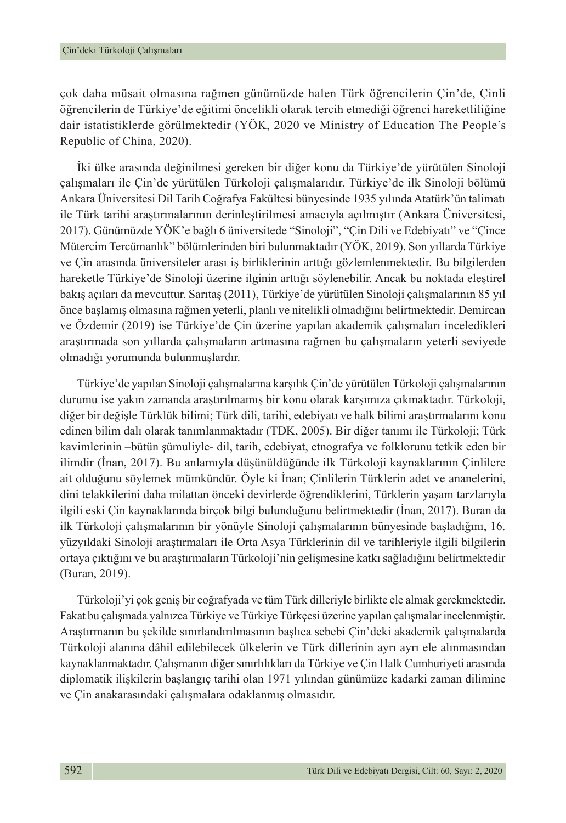çok daha müsait olmasına rağmen günümüzde halen Türk öğrencilerin Çin'de, Çinli öğrencilerin de Türkiye'de eğitimi öncelikli olarak tercih etmediği öğrenci hareketliliğine dair istatistiklerde görülmektedir (YÖK, 2020 ve Ministry of Education The People's Republic of China, 2020).

İki ülke arasında değinilmesi gereken bir diğer konu da Türkiye'de yürütülen Sinoloji çalışmaları ile Çin'de yürütülen Türkoloji çalışmalarıdır. Türkiye'de ilk Sinoloji bölümü Ankara Üniversitesi Dil Tarih Coğrafya Fakültesi bünyesinde 1935 yılında Atatürk'ün talimatı ile Türk tarihi araştırmalarının derinleştirilmesi amacıyla açılmıştır (Ankara Üniversitesi, 2017). Günümüzde YÖK'e bağlı 6 üniversitede "Sinoloji", "Çin Dili ve Edebiyatı" ve "Çince Mütercim Tercümanlık" bölümlerinden biri bulunmaktadır (YÖK, 2019). Son yıllarda Türkiye ve Çin arasında üniversiteler arası iş birliklerinin arttığı gözlemlenmektedir. Bu bilgilerden hareketle Türkiye'de Sinoloji üzerine ilginin arttığı söylenebilir. Ancak bu noktada eleştirel bakış açıları da mevcuttur. Sarıtaş (2011), Türkiye'de yürütülen Sinoloji çalışmalarının 85 yıl önce başlamış olmasına rağmen yeterli, planlı ve nitelikli olmadığını belirtmektedir. Demircan ve Özdemir (2019) ise Türkiye'de Çin üzerine yapılan akademik çalışmaları inceledikleri araştırmada son yıllarda çalışmaların artmasına rağmen bu çalışmaların yeterli seviyede olmadığı yorumunda bulunmuşlardır.

Türkiye'de yapılan Sinoloji çalışmalarına karşılık Çin'de yürütülen Türkoloji çalışmalarının durumu ise yakın zamanda araştırılmamış bir konu olarak karşımıza çıkmaktadır. Türkoloji, diğer bir değişle Türklük bilimi; Türk dili, tarihi, edebiyatı ve halk bilimi araştırmalarını konu edinen bilim dalı olarak tanımlanmaktadır (TDK, 2005). Bir diğer tanımı ile Türkoloji; Türk kavimlerinin –bütün şümuliyle- dil, tarih, edebiyat, etnografya ve folklorunu tetkik eden bir ilimdir (İnan, 2017). Bu anlamıyla düşünüldüğünde ilk Türkoloji kaynaklarının Çinlilere ait olduğunu söylemek mümkündür. Öyle ki İnan; Çinlilerin Türklerin adet ve ananelerini, dini telakkilerini daha milattan önceki devirlerde öğrendiklerini, Türklerin yaşam tarzlarıyla ilgili eski Çin kaynaklarında birçok bilgi bulunduğunu belirtmektedir (İnan, 2017). Buran da ilk Türkoloji çalışmalarının bir yönüyle Sinoloji çalışmalarının bünyesinde başladığını, 16. yüzyıldaki Sinoloji araştırmaları ile Orta Asya Türklerinin dil ve tarihleriyle ilgili bilgilerin ortaya çıktığını ve bu araştırmaların Türkoloji'nin gelişmesine katkı sağladığını belirtmektedir (Buran, 2019).

Türkoloji'yi çok geniş bir coğrafyada ve tüm Türk dilleriyle birlikte ele almak gerekmektedir. Fakat bu çalışmada yalnızca Türkiye ve Türkiye Türkçesi üzerine yapılan çalışmalar incelenmiştir. Araştırmanın bu şekilde sınırlandırılmasının başlıca sebebi Çin'deki akademik çalışmalarda Türkoloji alanına dâhil edilebilecek ülkelerin ve Türk dillerinin ayrı ayrı ele alınmasından kaynaklanmaktadır. Çalışmanın diğer sınırlılıkları da Türkiye ve Çin Halk Cumhuriyeti arasında diplomatik ilişkilerin başlangıç tarihi olan 1971 yılından günümüze kadarki zaman dilimine ve Çin anakarasındaki çalışmalara odaklanmış olmasıdır.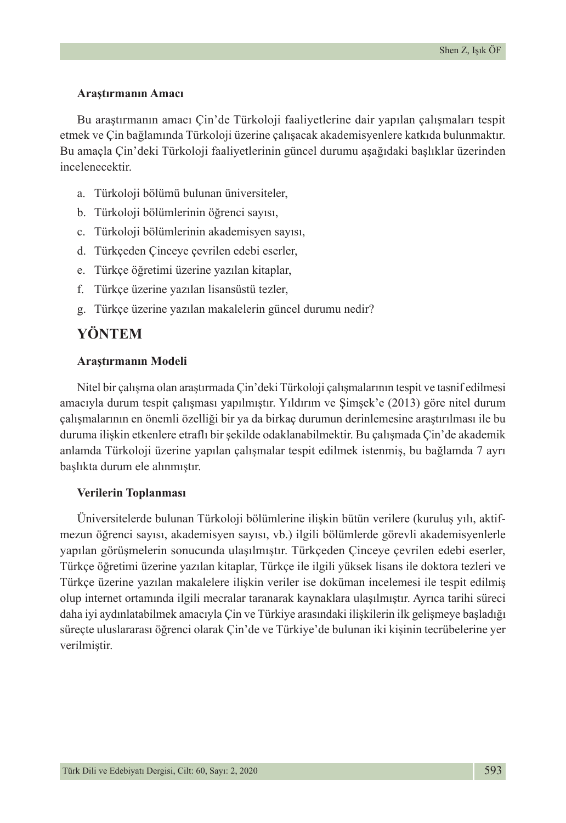#### **Araştırmanın Amacı**

Bu araştırmanın amacı Çin'de Türkoloji faaliyetlerine dair yapılan çalışmaları tespit etmek ve Çin bağlamında Türkoloji üzerine çalışacak akademisyenlere katkıda bulunmaktır. Bu amaçla Çin'deki Türkoloji faaliyetlerinin güncel durumu aşağıdaki başlıklar üzerinden incelenecektir.

- a. Türkoloji bölümü bulunan üniversiteler,
- b. Türkoloji bölümlerinin öğrenci sayısı,
- c. Türkoloji bölümlerinin akademisyen sayısı,
- d. Türkçeden Çinceye çevrilen edebi eserler,
- e. Türkçe öğretimi üzerine yazılan kitaplar,
- f. Türkçe üzerine yazılan lisansüstü tezler,
- g. Türkçe üzerine yazılan makalelerin güncel durumu nedir?

### **YÖNTEM**

### **Araştırmanın Modeli**

Nitel bir çalışma olan araştırmada Çin'deki Türkoloji çalışmalarının tespit ve tasnif edilmesi amacıyla durum tespit çalışması yapılmıştır. Yıldırım ve Şimşek'e (2013) göre nitel durum çalışmalarının en önemli özelliği bir ya da birkaç durumun derinlemesine araştırılması ile bu duruma ilişkin etkenlere etraflı bir şekilde odaklanabilmektir. Bu çalışmada Çin'de akademik anlamda Türkoloji üzerine yapılan çalışmalar tespit edilmek istenmiş, bu bağlamda 7 ayrı başlıkta durum ele alınmıştır.

#### **Verilerin Toplanması**

Üniversitelerde bulunan Türkoloji bölümlerine ilişkin bütün verilere (kuruluş yılı, aktifmezun öğrenci sayısı, akademisyen sayısı, vb.) ilgili bölümlerde görevli akademisyenlerle yapılan görüşmelerin sonucunda ulaşılmıştır. Türkçeden Çinceye çevrilen edebi eserler, Türkçe öğretimi üzerine yazılan kitaplar, Türkçe ile ilgili yüksek lisans ile doktora tezleri ve Türkçe üzerine yazılan makalelere ilişkin veriler ise doküman incelemesi ile tespit edilmiş olup internet ortamında ilgili mecralar taranarak kaynaklara ulaşılmıştır. Ayrıca tarihi süreci daha iyi aydınlatabilmek amacıyla Çin ve Türkiye arasındaki ilişkilerin ilk gelişmeye başladığı süreçte uluslararası öğrenci olarak Çin'de ve Türkiye'de bulunan iki kişinin tecrübelerine yer verilmiştir.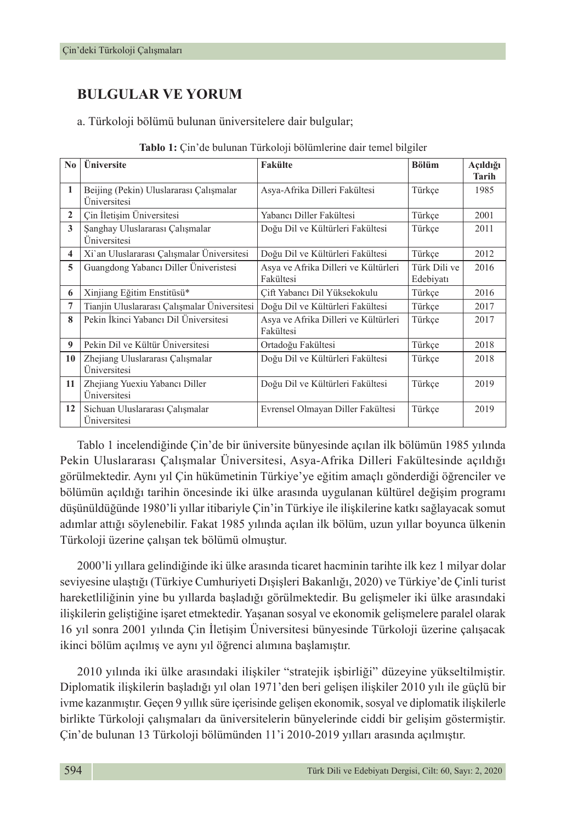# **BULGULAR VE YORUM**

a. Türkoloji bölümü bulunan üniversitelere dair bulgular;

| No           | <b>Üniversite</b>                                       | <b>Fakülte</b>                                    | <b>Bölüm</b>              | Açıldığı<br><b>Tarih</b> |
|--------------|---------------------------------------------------------|---------------------------------------------------|---------------------------|--------------------------|
| $\mathbf{1}$ | Beijing (Pekin) Uluslararası Çalışmalar<br>Üniversitesi | Asya-Afrika Dilleri Fakültesi                     | Türkçe                    | 1985                     |
| $\mathbf{2}$ | Cin İletişim Üniversitesi                               | Yabancı Diller Fakültesi                          | Türkce                    | 2001                     |
| 3            | Şanghay Uluslararası Çalışmalar<br>Üniversitesi         | Doğu Dil ve Kültürleri Fakültesi                  | Türkce                    | 2011                     |
| 4            | Xi'an Uluslararası Çalışmalar Üniversitesi              | Doğu Dil ve Kültürleri Fakültesi                  | Türkce                    | 2012                     |
| 5            | Guangdong Yabancı Diller Üniveristesi                   | Asya ve Afrika Dilleri ve Kültürleri<br>Fakültesi | Türk Dili ve<br>Edebiyatı | 2016                     |
| 6            | Xinjiang Eğitim Enstitüsü*                              | Cift Yabancı Dil Yüksekokulu                      | Türkçe                    | 2016                     |
| 7            | Tianjin Uluslararası Çalışmalar Üniversitesi            | Doğu Dil ve Kültürleri Fakültesi                  | Türkce                    | 2017                     |
| 8            | Pekin İkinci Yabancı Dil Üniversitesi                   | Asya ve Afrika Dilleri ve Kültürleri<br>Fakültesi | Türkce                    | 2017                     |
| 9            | Pekin Dil ve Kültür Üniversitesi                        | Ortadoğu Fakültesi                                | Türkce                    | 2018                     |
| 10           | Zhejiang Uluslararası Çalışmalar<br>Üniversitesi        | Doğu Dil ve Kültürleri Fakültesi                  | Türkçe                    | 2018                     |
| 11           | Zhejiang Yuexiu Yabancı Diller<br>Üniversitesi          | Doğu Dil ve Kültürleri Fakültesi                  | Türkce                    | 2019                     |
| 12           | Sichuan Uluslararası Çalışmalar<br>Üniversitesi         | Evrensel Olmayan Diller Fakültesi                 | Türkce                    | 2019                     |

| Tablo 1: Çin'de bulunan Türkoloji bölümlerine dair temel bilgiler |  |  |
|-------------------------------------------------------------------|--|--|
|-------------------------------------------------------------------|--|--|

Tablo 1 incelendiğinde Çin'de bir üniversite bünyesinde açılan ilk bölümün 1985 yılında Pekin Uluslararası Çalışmalar Üniversitesi, Asya-Afrika Dilleri Fakültesinde açıldığı görülmektedir. Aynı yıl Çin hükümetinin Türkiye'ye eğitim amaçlı gönderdiği öğrenciler ve bölümün açıldığı tarihin öncesinde iki ülke arasında uygulanan kültürel değişim programı düşünüldüğünde 1980'li yıllar itibariyle Çin'in Türkiye ile ilişkilerine katkı sağlayacak somut adımlar attığı söylenebilir. Fakat 1985 yılında açılan ilk bölüm, uzun yıllar boyunca ülkenin Türkoloji üzerine çalışan tek bölümü olmuştur.

2000'li yıllara gelindiğinde iki ülke arasında ticaret hacminin tarihte ilk kez 1 milyar dolar seviyesine ulaştığı (Türkiye Cumhuriyeti Dışişleri Bakanlığı, 2020) ve Türkiye'de Çinli turist hareketliliğinin yine bu yıllarda başladığı görülmektedir. Bu gelişmeler iki ülke arasındaki ilişkilerin geliştiğine işaret etmektedir. Yaşanan sosyal ve ekonomik gelişmelere paralel olarak 16 yıl sonra 2001 yılında Çin İletişim Üniversitesi bünyesinde Türkoloji üzerine çalışacak ikinci bölüm açılmış ve aynı yıl öğrenci alımına başlamıştır.

2010 yılında iki ülke arasındaki ilişkiler "stratejik işbirliği" düzeyine yükseltilmiştir. Diplomatik ilişkilerin başladığı yıl olan 1971'den beri gelişen ilişkiler 2010 yılı ile güçlü bir ivme kazanmıştır. Geçen 9 yıllık süre içerisinde gelişen ekonomik, sosyal ve diplomatik ilişkilerle birlikte Türkoloji çalışmaları da üniversitelerin bünyelerinde ciddi bir gelişim göstermiştir. Çin'de bulunan 13 Türkoloji bölümünden 11'i 2010-2019 yılları arasında açılmıştır.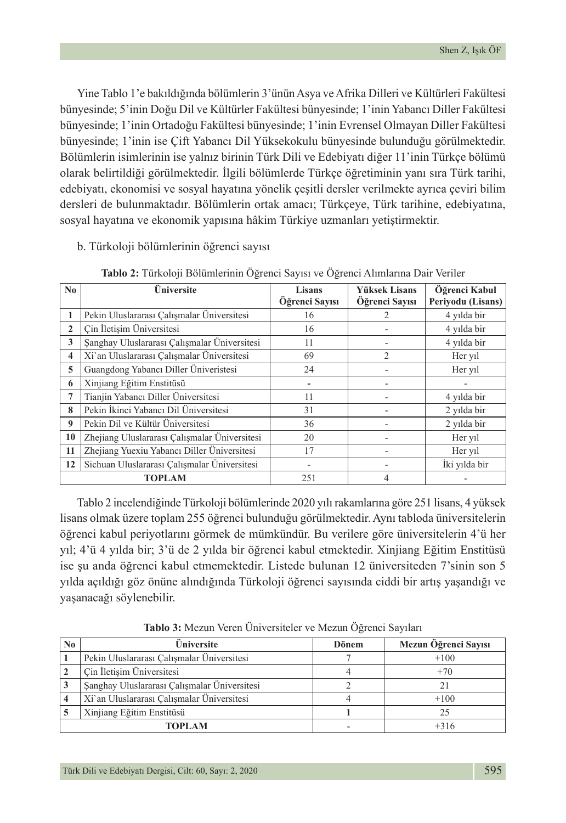Yine Tablo 1'e bakıldığında bölümlerin 3'ünün Asya ve Afrika Dilleri ve Kültürleri Fakültesi bünyesinde; 5'inin Doğu Dil ve Kültürler Fakültesi bünyesinde; 1'inin Yabancı Diller Fakültesi bünyesinde; 1'inin Ortadoğu Fakültesi bünyesinde; 1'inin Evrensel Olmayan Diller Fakültesi bünyesinde; 1'inin ise Çift Yabancı Dil Yüksekokulu bünyesinde bulunduğu görülmektedir. Bölümlerin isimlerinin ise yalnız birinin Türk Dili ve Edebiyatı diğer 11'inin Türkçe bölümü olarak belirtildiği görülmektedir. İlgili bölümlerde Türkçe öğretiminin yanı sıra Türk tarihi, edebiyatı, ekonomisi ve sosyal hayatına yönelik çeşitli dersler verilmekte ayrıca çeviri bilim dersleri de bulunmaktadır. Bölümlerin ortak amacı; Türkçeye, Türk tarihine, edebiyatına, sosyal hayatına ve ekonomik yapısına hâkim Türkiye uzmanları yetiştirmektir.

b. Türkoloji bölümlerinin öğrenci sayısı

| $\bf No$                | Üniversite                                    | <b>Lisans</b><br>Öğrenci Sayısı | <b>Yüksek Lisans</b><br>Öğrenci Sayısı | Öğrenci Kabul<br>Periyodu (Lisans) |
|-------------------------|-----------------------------------------------|---------------------------------|----------------------------------------|------------------------------------|
|                         | Pekin Uluslararası Çalışmalar Üniversitesi    | 16                              | 2                                      | 4 yılda bir                        |
|                         |                                               |                                 |                                        |                                    |
| 2                       | Cin İletişim Üniversitesi                     | 16                              |                                        | 4 yılda bir                        |
| 3                       | Şanghay Uluslararası Çalışmalar Üniversitesi  | 11                              |                                        | 4 yılda bir                        |
| $\overline{\mathbf{4}}$ | Xi'an Uluslararası Çalışmalar Üniversitesi    | 69                              | $\overline{2}$                         | Her yil                            |
| 5                       | Guangdong Yabancı Diller Üniveristesi         | 24                              |                                        | Her yil                            |
| 6                       | Xinjiang Eğitim Enstitüsü                     |                                 |                                        |                                    |
| 7                       | Tianjin Yabancı Diller Üniversitesi           | 11                              |                                        | 4 yılda bir                        |
| 8                       | Pekin İkinci Yabancı Dil Üniversitesi         | 31                              |                                        | 2 yılda bir                        |
| 9                       | Pekin Dil ve Kültür Üniversitesi              | 36                              |                                        | 2 yılda bir                        |
| 10                      | Zhejiang Uluslararası Çalışmalar Üniversitesi | 20                              |                                        | Her yil                            |
| 11                      | Zhejiang Yuexiu Yabancı Diller Üniversitesi   | 17                              |                                        | Her yil                            |
| 12                      | Sichuan Uluslararası Çalışmalar Üniversitesi  |                                 |                                        | İki yılda bir                      |
|                         | <b>TOPLAM</b>                                 | 251                             | 4                                      |                                    |

**Tablo 2:** Türkoloji Bölümlerinin Öğrenci Sayısı ve Öğrenci Alımlarına Dair Veriler

Tablo 2 incelendiğinde Türkoloji bölümlerinde 2020 yılı rakamlarına göre 251 lisans, 4 yüksek lisans olmak üzere toplam 255 öğrenci bulunduğu görülmektedir. Aynı tabloda üniversitelerin öğrenci kabul periyotlarını görmek de mümkündür. Bu verilere göre üniversitelerin 4'ü her yıl; 4'ü 4 yılda bir; 3'ü de 2 yılda bir öğrenci kabul etmektedir. Xinjiang Eğitim Enstitüsü ise şu anda öğrenci kabul etmemektedir. Listede bulunan 12 üniversiteden 7'sinin son 5 yılda açıldığı göz önüne alındığında Türkoloji öğrenci sayısında ciddi bir artış yaşandığı ve yaşanacağı söylenebilir.

| No. | Üniversite                                   | Dönem | Mezun Öğrenci Sayısı |
|-----|----------------------------------------------|-------|----------------------|
|     | Pekin Uluslararası Çalışmalar Üniversitesi   |       | $+100$               |
|     | Çin İletişim Üniversitesi                    |       | $+70$                |
|     | Şanghay Uluslararası Çalışmalar Üniversitesi |       |                      |
|     | Xi'an Uluslararası Çalışmalar Üniversitesi   |       | $+100$               |
|     | Xinjiang Eğitim Enstitüsü                    |       | 25                   |
|     | <b>TOPLAM</b>                                |       | $+316$               |

**Tablo 3:** Mezun Veren Üniversiteler ve Mezun Öğrenci Sayıları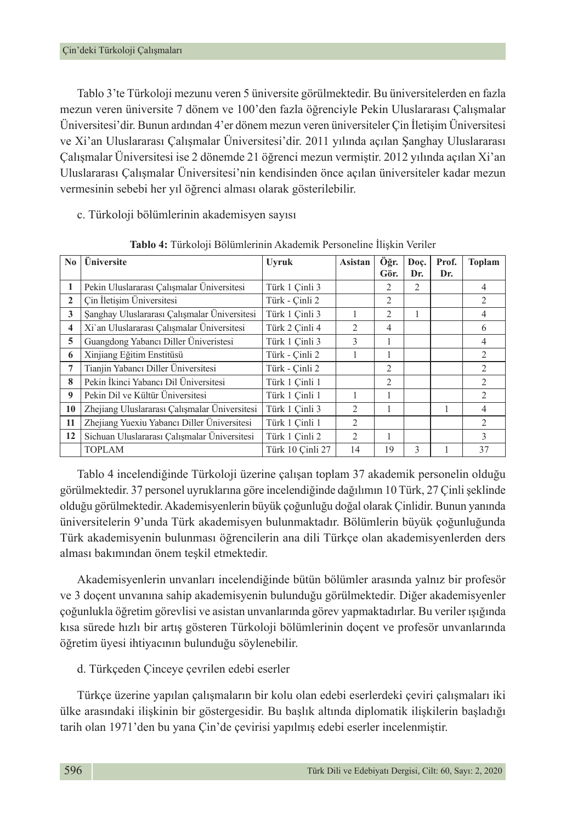Tablo 3'te Türkoloji mezunu veren 5 üniversite görülmektedir. Bu üniversitelerden en fazla mezun veren üniversite 7 dönem ve 100'den fazla öğrenciyle Pekin Uluslararası Çalışmalar Üniversitesi'dir. Bunun ardından 4'er dönem mezun veren üniversiteler Çin İletişim Üniversitesi ve Xi'an Uluslararası Çalışmalar Üniversitesi'dir. 2011 yılında açılan Şanghay Uluslararası Çalışmalar Üniversitesi ise 2 dönemde 21 öğrenci mezun vermiştir. 2012 yılında açılan Xi'an Uluslararası Çalışmalar Üniversitesi'nin kendisinden önce açılan üniversiteler kadar mezun vermesinin sebebi her yıl öğrenci alması olarak gösterilebilir.

c. Türkoloji bölümlerinin akademisyen sayısı

| No.                     | Üniversite                                    | <b>Uyruk</b>     | Asistan        | Öğr.           | Doc.           | Prof. | <b>Toplam</b>  |
|-------------------------|-----------------------------------------------|------------------|----------------|----------------|----------------|-------|----------------|
|                         |                                               |                  |                | Gör.           | Dr.            | Dr.   |                |
| 1                       | Pekin Uluslararası Calısmalar Üniversitesi    | Türk 1 Cinli 3   |                | 2              | $\overline{2}$ |       | 4              |
| 2                       | Cin İletişim Üniversitesi                     | Türk - Cinli 2   |                | $\overline{2}$ |                |       | 2              |
| 3                       | Şanghay Uluslararası Çalışmalar Üniversitesi  | Türk 1 Cinli 3   |                | $\overline{2}$ |                |       | 4              |
| $\overline{\mathbf{4}}$ | Xi'an Uluslararası Çalışmalar Üniversitesi    | Türk 2 Cinli 4   | $\overline{2}$ | 4              |                |       | 6              |
| 5                       | Guangdong Yabancı Diller Üniveristesi         | Türk 1 Cinli 3   | 3              | 1              |                |       | 4              |
| 6                       | Xinjiang Eğitim Enstitüsü                     | Türk - Çinli 2   |                | 1              |                |       | 2              |
| 7                       | Tianjin Yabancı Diller Üniversitesi           | Türk - Çinli 2   |                | $\overline{c}$ |                |       | $\mathfrak{D}$ |
| 8                       | Pekin İkinci Yabancı Dil Üniversitesi         | Türk 1 Cinli 1   |                | $\overline{c}$ |                |       | 2              |
| 9                       | Pekin Dil ve Kültür Üniversitesi              | Türk 1 Cinli 1   |                | 1              |                |       | $\mathfrak{D}$ |
| 10                      | Zhejiang Uluslararası Çalışmalar Üniversitesi | Türk 1 Cinli 3   | $\overline{2}$ |                |                |       | 4              |
| 11                      | Zhejiang Yuexiu Yabancı Diller Üniversitesi   | Türk 1 Cinli 1   | 2              |                |                |       | $\mathfrak{D}$ |
| 12                      | Sichuan Uluslararası Calısmalar Üniversitesi  | Türk 1 Cinli 2   | 2              | 1              |                |       | $\mathcal{E}$  |
|                         | <b>TOPLAM</b>                                 | Türk 10 Cinli 27 | 14             | 19             | 3              |       | 37             |

**Tablo 4:** Türkoloji Bölümlerinin Akademik Personeline İlişkin Veriler

Tablo 4 incelendiğinde Türkoloji üzerine çalışan toplam 37 akademik personelin olduğu görülmektedir. 37 personel uyruklarına göre incelendiğinde dağılımın 10 Türk, 27 Çinli şeklinde olduğu görülmektedir. Akademisyenlerin büyük çoğunluğu doğal olarak Çinlidir. Bunun yanında üniversitelerin 9'unda Türk akademisyen bulunmaktadır. Bölümlerin büyük çoğunluğunda Türk akademisyenin bulunması öğrencilerin ana dili Türkçe olan akademisyenlerden ders alması bakımından önem teşkil etmektedir.

Akademisyenlerin unvanları incelendiğinde bütün bölümler arasında yalnız bir profesör ve 3 doçent unvanına sahip akademisyenin bulunduğu görülmektedir. Diğer akademisyenler çoğunlukla öğretim görevlisi ve asistan unvanlarında görev yapmaktadırlar. Bu veriler ışığında kısa sürede hızlı bir artış gösteren Türkoloji bölümlerinin doçent ve profesör unvanlarında öğretim üyesi ihtiyacının bulunduğu söylenebilir.

### d. Türkçeden Çinceye çevrilen edebi eserler

Türkçe üzerine yapılan çalışmaların bir kolu olan edebi eserlerdeki çeviri çalışmaları iki ülke arasındaki ilişkinin bir göstergesidir. Bu başlık altında diplomatik ilişkilerin başladığı tarih olan 1971'den bu yana Çin'de çevirisi yapılmış edebi eserler incelenmiştir.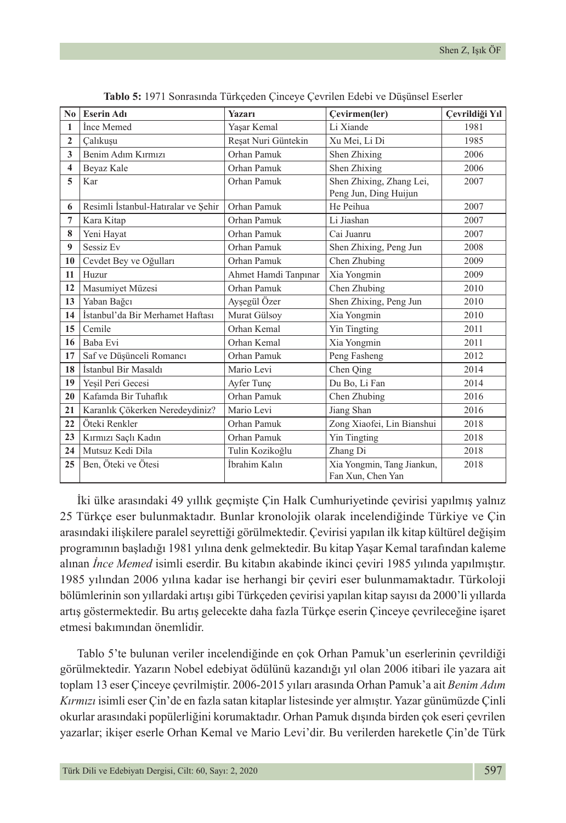| No.                     | <b>Eserin Adı</b>                   | <b>Yazarı</b>        | Cevirmen(ler)                                   | Çevrildiği Yıl |
|-------------------------|-------------------------------------|----------------------|-------------------------------------------------|----------------|
| 1                       | Ince Memed                          | Yaşar Kemal          | Li Xiande                                       | 1981           |
| $\overline{2}$          | Calıkuşu                            | Reşat Nuri Güntekin  | Xu Mei, Li Di                                   | 1985           |
| 3                       | Benim Adım Kırmızı                  | Orhan Pamuk          | Shen Zhixing                                    | 2006           |
| $\overline{\mathbf{4}}$ | Beyaz Kale                          | Orhan Pamuk          | Shen Zhixing                                    | 2006           |
| 5                       | Kar                                 | Orhan Pamuk          | Shen Zhixing, Zhang Lei,                        | 2007           |
|                         |                                     | Orhan Pamuk          | Peng Jun, Ding Huijun<br>He Peihua              | 2007           |
| 6                       | Resimli İstanbul-Hatıralar ve Şehir |                      |                                                 |                |
| 7                       | Kara Kitap                          | Orhan Pamuk          | Li Jiashan                                      | 2007           |
| 8                       | Yeni Hayat                          | Orhan Pamuk          | Cai Juanru                                      | 2007           |
| 9                       | Sessiz Ev                           | Orhan Pamuk          | Shen Zhixing, Peng Jun                          | 2008           |
| 10                      | Cevdet Bey ve Oğulları              | Orhan Pamuk          | Chen Zhubing                                    | 2009           |
| 11                      | Huzur                               | Ahmet Hamdi Tanpınar | Xia Yongmin                                     | 2009           |
| 12                      | Masumiyet Müzesi                    | Orhan Pamuk          | Chen Zhubing                                    | 2010           |
| 13                      | Yaban Bağcı                         | Ayşegül Özer         | Shen Zhixing, Peng Jun                          | 2010           |
| 14                      | İstanbul'da Bir Merhamet Haftası    | Murat Gülsov         | Xia Yongmin                                     | 2010           |
| 15                      | Cemile                              | Orhan Kemal          | Yin Tingting                                    | 2011           |
| 16                      | Baba Evi                            | Orhan Kemal          | Xia Yongmin                                     | 2011           |
| 17                      | Saf ve Düşünceli Romancı            | Orhan Pamuk          | Peng Fasheng                                    | 2012           |
| 18                      | İstanbul Bir Masaldı                | Mario Levi           | Chen Oing                                       | 2014           |
| 19                      | Yeşil Peri Gecesi                   | Ayfer Tunç           | Du Bo, Li Fan                                   | 2014           |
| 20                      | Kafamda Bir Tuhaflık                | Orhan Pamuk          | Chen Zhubing                                    | 2016           |
| 21                      | Karanlık Çökerken Neredeydiniz?     | Mario Levi           | Jiang Shan                                      | 2016           |
| 22                      | Öteki Renkler                       | Orhan Pamuk          | Zong Xiaofei, Lin Bianshui                      | 2018           |
| 23                      | Kırmızı Saçlı Kadın                 | Orhan Pamuk          | Yin Tingting                                    | 2018           |
| 24                      | Mutsuz Kedi Dila                    | Tulin Kozikoğlu      | Zhang Di                                        | 2018           |
| 25                      | Ben, Öteki ve Ötesi                 | İbrahim Kalın        | Xia Yongmin, Tang Jiankun,<br>Fan Xun, Chen Yan | 2018           |

**Tablo 5:** 1971 Sonrasında Türkçeden Çinceye Çevrilen Edebi ve Düşünsel Eserler

İki ülke arasındaki 49 yıllık geçmişte Çin Halk Cumhuriyetinde çevirisi yapılmış yalnız 25 Türkçe eser bulunmaktadır. Bunlar kronolojik olarak incelendiğinde Türkiye ve Çin arasındaki ilişkilere paralel seyrettiği görülmektedir. Çevirisi yapılan ilk kitap kültürel değişim programının başladığı 1981 yılına denk gelmektedir. Bu kitap Yaşar Kemal tarafından kaleme alınan *İnce Memed* isimli eserdir. Bu kitabın akabinde ikinci çeviri 1985 yılında yapılmıştır. 1985 yılından 2006 yılına kadar ise herhangi bir çeviri eser bulunmamaktadır. Türkoloji bölümlerinin son yıllardaki artışı gibi Türkçeden çevirisi yapılan kitap sayısı da 2000'li yıllarda artış göstermektedir. Bu artış gelecekte daha fazla Türkçe eserin Çinceye çevrileceğine işaret etmesi bakımından önemlidir.

Tablo 5'te bulunan veriler incelendiğinde en çok Orhan Pamuk'un eserlerinin çevrildiği görülmektedir. Yazarın Nobel edebiyat ödülünü kazandığı yıl olan 2006 itibari ile yazara ait toplam 13 eser Çinceye çevrilmiştir. 2006-2015 yıları arasında Orhan Pamuk'a ait *Benim Adım Kırmızı* isimli eser Çin'de en fazla satan kitaplar listesinde yer almıştır. Yazar günümüzde Çinli okurlar arasındaki popülerliğini korumaktadır. Orhan Pamuk dışında birden çok eseri çevrilen yazarlar; ikişer eserle Orhan Kemal ve Mario Levi'dir. Bu verilerden hareketle Çin'de Türk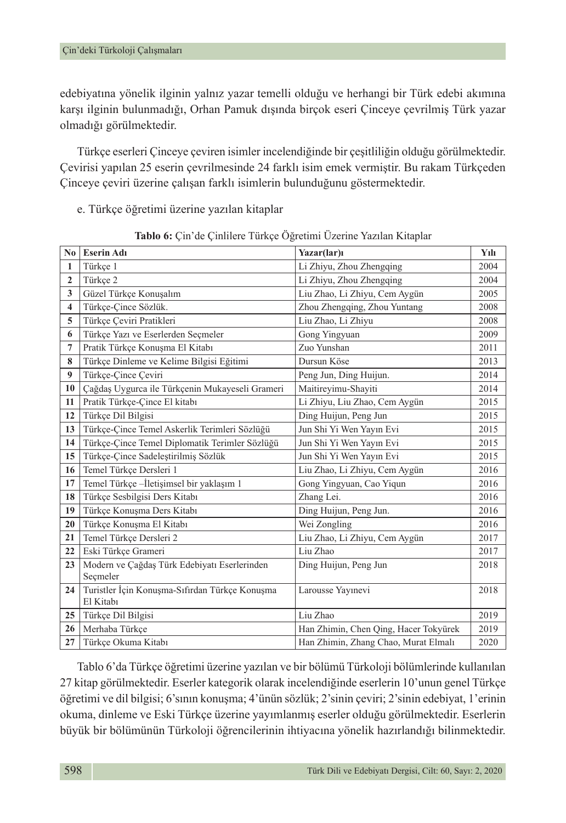edebiyatına yönelik ilginin yalnız yazar temelli olduğu ve herhangi bir Türk edebi akımına karşı ilginin bulunmadığı, Orhan Pamuk dışında birçok eseri Çinceye çevrilmiş Türk yazar olmadığı görülmektedir.

Türkçe eserleri Çinceye çeviren isimler incelendiğinde bir çeşitliliğin olduğu görülmektedir. Çevirisi yapılan 25 eserin çevrilmesinde 24 farklı isim emek vermiştir. Bu rakam Türkçeden Çinceye çeviri üzerine çalışan farklı isimlerin bulunduğunu göstermektedir.

e. Türkçe öğretimi üzerine yazılan kitaplar

| N <sub>0</sub>          | <b>Eserin Adı</b>                                           | Yazar(lar)ı                           | Yılı |
|-------------------------|-------------------------------------------------------------|---------------------------------------|------|
| 1                       | Türkçe 1                                                    | Li Zhiyu, Zhou Zhengqing              | 2004 |
| $\mathbf{2}$            | Türkçe 2                                                    | Li Zhiyu, Zhou Zhengqing              | 2004 |
| 3                       | Güzel Türkçe Konuşalım                                      | Liu Zhao, Li Zhiyu, Cem Aygün         | 2005 |
| $\overline{\mathbf{4}}$ | Türkçe-Çince Sözlük.                                        | Zhou Zhengqing, Zhou Yuntang          | 2008 |
| 5                       | Türkçe Çeviri Pratikleri                                    | Liu Zhao, Li Zhiyu                    | 2008 |
| 6                       | Türkçe Yazı ve Eserlerden Seçmeler                          | Gong Yingyuan                         | 2009 |
| $\overline{7}$          | Pratik Türkçe Konuşma El Kitabı                             | Zuo Yunshan                           | 2011 |
| 8                       | Türkçe Dinleme ve Kelime Bilgisi Eğitimi                    | Dursun Köse                           | 2013 |
| 9                       | Türkçe-Çince Çeviri                                         | Peng Jun, Ding Huijun.                | 2014 |
| 10                      | Çağdaş Uygurca ile Türkçenin Mukayeseli Grameri             | Maitireyimu-Shayiti                   | 2014 |
| 11                      | Pratik Türkçe-Çince El kitabı                               | Li Zhiyu, Liu Zhao, Cem Aygün         | 2015 |
| 12                      | Türkçe Dil Bilgisi                                          | Ding Huijun, Peng Jun                 | 2015 |
| 13                      | Türkçe-Çince Temel Askerlik Terimleri Sözlüğü               | Jun Shi Yi Wen Yayın Evi              | 2015 |
| 14                      | Türkçe-Çince Temel Diplomatik Terimler Sözlüğü              | Jun Shi Yi Wen Yayın Evi              | 2015 |
| 15                      | Türkçe-Çince Sadeleştirilmiş Sözlük                         | Jun Shi Yi Wen Yayın Evi              | 2015 |
| 16                      | Temel Türkçe Dersleri 1                                     | Liu Zhao, Li Zhiyu, Cem Aygün         | 2016 |
| 17                      | Temel Türkçe -İletişimsel bir yaklaşım 1                    | Gong Yingyuan, Cao Yiqun              | 2016 |
| 18                      | Türkçe Sesbilgisi Ders Kitabı                               | Zhang Lei.                            | 2016 |
| 19                      | Türkçe Konuşma Ders Kitabı                                  | Ding Huijun, Peng Jun.                | 2016 |
| 20                      | Türkçe Konuşma El Kitabı                                    | Wei Zongling                          | 2016 |
| 21                      | Temel Türkçe Dersleri 2                                     | Liu Zhao, Li Zhiyu, Cem Aygün         | 2017 |
| 22                      | Eski Türkçe Grameri                                         | Liu Zhao                              | 2017 |
| 23                      | Modern ve Çağdaş Türk Edebiyatı Eserlerinden                | Ding Huijun, Peng Jun                 | 2018 |
|                         | Seçmeler                                                    |                                       |      |
| 24                      | Turistler İçin Konuşma-Sıfırdan Türkçe Konuşma<br>El Kitabı | Larousse Yayınevi                     | 2018 |
| 25                      | Türkçe Dil Bilgisi                                          | Liu Zhao                              | 2019 |
| 26                      | Merhaba Türkçe                                              | Han Zhimin, Chen Qing, Hacer Tokyürek | 2019 |
| 27                      | Türkçe Okuma Kitabı                                         | Han Zhimin, Zhang Chao, Murat Elmalı  | 2020 |

**Tablo 6:** Çin'de Çinlilere Türkçe Öğretimi Üzerine Yazılan Kitaplar

Tablo 6'da Türkçe öğretimi üzerine yazılan ve bir bölümü Türkoloji bölümlerinde kullanılan 27 kitap görülmektedir. Eserler kategorik olarak incelendiğinde eserlerin 10'unun genel Türkçe öğretimi ve dil bilgisi; 6'sının konuşma; 4'ünün sözlük; 2'sinin çeviri; 2'sinin edebiyat, 1'erinin okuma, dinleme ve Eski Türkçe üzerine yayımlanmış eserler olduğu görülmektedir. Eserlerin büyük bir bölümünün Türkoloji öğrencilerinin ihtiyacına yönelik hazırlandığı bilinmektedir.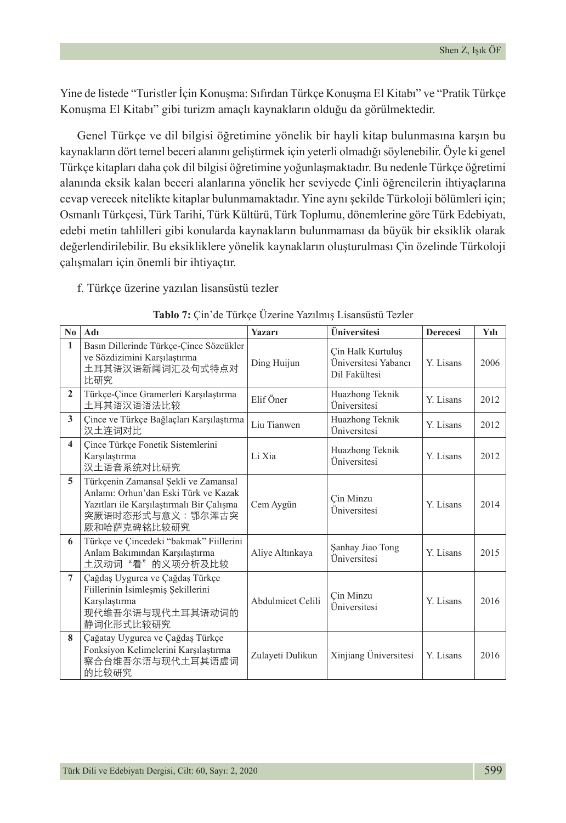Yine de listede "Turistler İçin Konuşma: Sıfırdan Türkçe Konuşma El Kitabı" ve "Pratik Türkçe Konuşma El Kitabı" gibi turizm amaçlı kaynakların olduğu da görülmektedir.

Genel Türkçe ve dil bilgisi öğretimine yönelik bir hayli kitap bulunmasına karşın bu kaynakların dört temel beceri alanını geliştirmek için yeterli olmadığı söylenebilir. Öyle ki genel Türkçe kitapları daha çok dil bilgisi öğretimine yoğunlaşmaktadır. Bu nedenle Türkçe öğretimi alanında eksik kalan beceri alanlarına yönelik her seviyede Çinli öğrencilerin ihtiyaçlarına cevap verecek nitelikte kitaplar bulunmamaktadır. Yine aynı şekilde Türkoloji bölümleri için; Osmanlı Türkçesi, Türk Tarihi, Türk Kültürü, Türk Toplumu, dönemlerine göre Türk Edebiyatı, edebi metin tahlilleri gibi konularda kaynakların bulunmaması da büyük bir eksiklik olarak değerlendirilebilir. Bu eksikliklere yönelik kaynakların oluşturulması Çin özelinde Türkoloji çalışmaları için önemli bir ihtiyaçtır.

f. Türkçe üzerine yazılan lisansüstü tezler

| No.                     | Adı                                                                                                                                                           | <b>Yazarı</b>     | Üniversitesi                                               | <b>Derecesi</b> | Yılı |
|-------------------------|---------------------------------------------------------------------------------------------------------------------------------------------------------------|-------------------|------------------------------------------------------------|-----------------|------|
| $\mathbf{1}$            | Basın Dillerinde Türkçe-Çince Sözcükler<br>ve Sözdizimini Karşılaştırma<br>土耳其语汉语新闻词汇及句式特点对<br>比研究                                                            | Ding Huijun       | Çin Halk Kurtuluş<br>Üniversitesi Yabancı<br>Dil Fakültesi | Y Lisans        | 2006 |
| $\mathbf{2}$            | Türkçe-Çince Gramerleri Karşılaştırma<br>土耳其语汉语语法比较                                                                                                           | Elif Öner         | Huazhong Teknik<br>Üniversitesi                            | Y. Lisans       | 2012 |
| 3                       | Çince ve Türkçe Bağlaçları Karşılaştırma<br>汉土连词对比                                                                                                            | Liu Tianwen       | Huazhong Teknik<br>Üniversitesi                            | Y. Lisans       | 2012 |
| $\overline{\mathbf{4}}$ | Çince Türkçe Fonetik Sistemlerini<br>Karşılaştırma<br>汉土语音系统对比研究                                                                                              | Li Xia            | Huazhong Teknik<br>Üniversitesi                            | Y. Lisans       | 2012 |
| 5                       | Türkçenin Zamansal Sekli ve Zamansal<br>Anlamı: Orhun'dan Eski Türk ve Kazak<br>Yazıtları ile Karşılaştırmalı Bir Çalışma<br>突厥语时态形式与意义: 鄂尔浑古突<br>厥和哈萨克碑铭比较研究 | Cem Aygün         | Cin Minzu<br>Üniversitesi                                  | Y. Lisans       | 2014 |
| 6                       | Türkçe ve Çincedeki "bakmak" Fiillerini<br>Anlam Bakımından Karşılaştırma<br>土汉动词"看"的义项分析及比较                                                                  | Aliye Altınkaya   | Sanhay Jiao Tong<br>Üniversitesi                           | Y. Lisans       | 2015 |
| $\overline{7}$          | Çağdaş Uygurca ve Çağdaş Türkçe<br>Fiillerinin İsimlesmis Sekillerini<br>Karşılaştırma<br>现代维吾尔语与现代土耳其语动词的<br>静词化形式比较研究                                       | Abdulmicet Celili | Cin Minzu<br>Üniversitesi                                  | Y. Lisans       | 2016 |
| 8                       | Çağatay Uygurca ve Çağdaş Türkçe<br>Fonksiyon Kelimelerini Karşılaştırma<br>察合台维吾尔语与现代土耳其语虚词<br>的比较研究                                                         | Zulayeti Dulikun  | Xinjiang Üniversitesi                                      | Y. Lisans       | 2016 |

|  |  |  |  |  | Tablo 7: Çin'de Türkçe Üzerine Yazılmış Lisansüstü Tezler |  |
|--|--|--|--|--|-----------------------------------------------------------|--|
|--|--|--|--|--|-----------------------------------------------------------|--|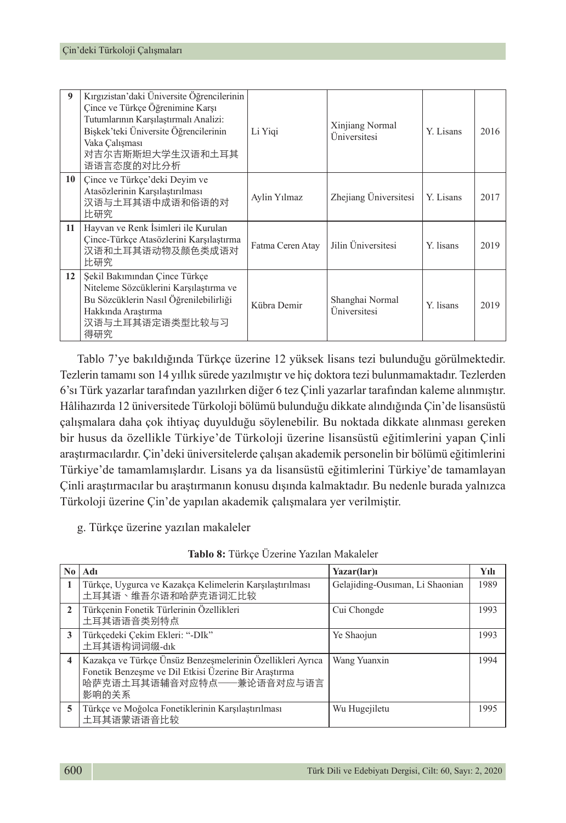|    | Kırgızistan'daki Üniversite Öğrencilerinin<br>Cince ve Türkçe Öğrenimine Karsı<br>Tutumlarının Karşılaştırmalı Analizi:<br>Biskek'teki Üniversite Öğrencilerinin<br>Vaka Calısması<br>对吉尔吉斯斯坦大学生汉语和土耳其<br>语语言态度的对比分析 | Li Yigi          | Xinjiang Normal<br>Üniversitesi | Y. Lisans | 2016 |
|----|----------------------------------------------------------------------------------------------------------------------------------------------------------------------------------------------------------------------|------------------|---------------------------------|-----------|------|
| 10 | Çince ve Türkçe'deki Deyim ve<br>Atasözlerinin Karşılaştırılması<br>汉语与土耳其语中成语和俗语的对<br>比研究                                                                                                                           | Aylin Yılmaz     | Zhejiang Universitesi           | Y. Lisans | 2017 |
| 11 | Hayvan ve Renk İsimleri ile Kurulan<br>Çince-Türkçe Atasözlerini Karşılaştırma<br>汉语和土耳其语动物及颜色类成语对<br>比研究                                                                                                            | Fatma Ceren Atay | Jilin Üniversitesi              | Y. lisans | 2019 |
| 12 | Şekil Bakımından Çince Türkçe<br>Niteleme Sözcüklerini Karşılaştırma ve<br>Bu Sözcüklerin Nasıl Öğrenilebilirliği<br>Hakkında Araştırma<br>汉语与土耳其语定语类型比较与习<br>得研究                                                    | Kübra Demir      | Shanghai Normal<br>Universitesi | Y. lisans | 2019 |

Tablo 7'ye bakıldığında Türkçe üzerine 12 yüksek lisans tezi bulunduğu görülmektedir. Tezlerin tamamı son 14 yıllık sürede yazılmıştır ve hiç doktora tezi bulunmamaktadır. Tezlerden 6'sı Türk yazarlar tarafından yazılırken diğer 6 tez Çinli yazarlar tarafından kaleme alınmıştır. Hâlihazırda 12 üniversitede Türkoloji bölümü bulunduğu dikkate alındığında Çin'de lisansüstü çalışmalara daha çok ihtiyaç duyulduğu söylenebilir. Bu noktada dikkate alınması gereken bir husus da özellikle Türkiye'de Türkoloji üzerine lisansüstü eğitimlerini yapan Çinli araştırmacılardır. Çin'deki üniversitelerde çalışan akademik personelin bir bölümü eğitimlerini Türkiye'de tamamlamışlardır. Lisans ya da lisansüstü eğitimlerini Türkiye'de tamamlayan Çinli araştırmacılar bu araştırmanın konusu dışında kalmaktadır. Bu nedenle burada yalnızca Türkoloji üzerine Çin'de yapılan akademik çalışmalara yer verilmiştir.

g. Türkçe üzerine yazılan makaleler

|                         | $\bf{No}$   Adı                                                                                                                                          | Yazar(lar)ı                     | Yılı |
|-------------------------|----------------------------------------------------------------------------------------------------------------------------------------------------------|---------------------------------|------|
| 1                       | Türkçe, Uygurca ve Kazakça Kelimelerin Karşılaştırılması<br>土耳其语、维吾尔语和哈萨克语词汇比较                                                                           | Gelajiding-Ousiman, Li Shaonian | 1989 |
| $\overline{2}$          | Türkçenin Fonetik Türlerinin Özellikleri<br>土耳其语语音类别特点                                                                                                   | Cui Chongde                     | 1993 |
| 3                       | Türkçedeki Cekim Ekleri: "-DIk"<br>土耳其语构词词缀-dık                                                                                                          | Ye Shaojun                      | 1993 |
| $\overline{\mathbf{4}}$ | Kazakça ve Türkçe Ünsüz Benzeşmelerinin Özellikleri Ayrıca<br>Fonetik Benzeşme ve Dil Etkisi Üzerine Bir Araştırma<br>哈萨克语土耳其语辅音对应特点——兼论语音对应与语言<br>影响的关系 | Wang Yuanxin                    | 1994 |
| 5                       | Türkçe ve Moğolca Fonetiklerinin Karşılaştırılması<br>土耳其语蒙语语音比较                                                                                         | Wu Hugejiletu                   | 1995 |

**Tablo 8:** Türkçe Üzerine Yazılan Makaleler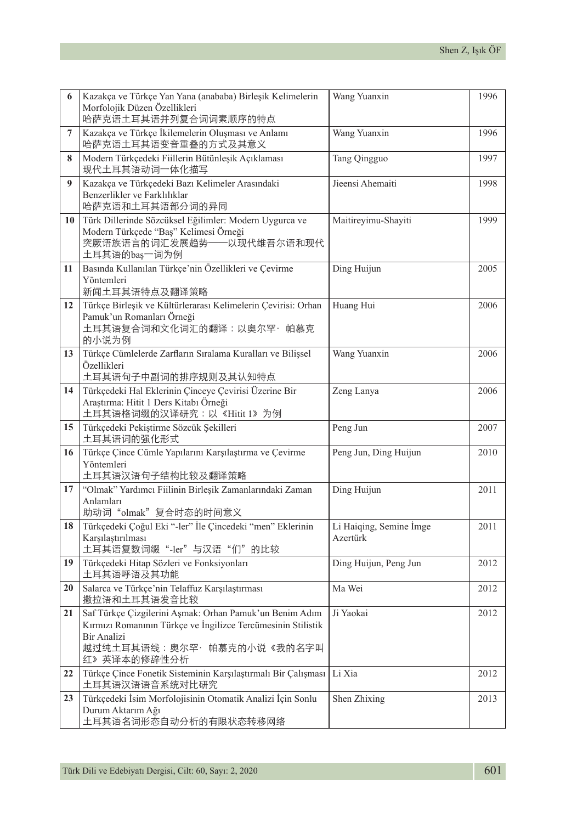| 6  | Kazakça ve Türkçe Yan Yana (anababa) Birleşik Kelimelerin<br>Morfolojik Düzen Özellikleri                                                                                          | Wang Yuanxin                        | 1996 |
|----|------------------------------------------------------------------------------------------------------------------------------------------------------------------------------------|-------------------------------------|------|
|    | 哈萨克语土耳其语并列复合词词素顺序的特点                                                                                                                                                               |                                     |      |
| 7  | Kazakça ve Türkçe İkilemelerin Oluşması ve Anlamı<br>哈萨克语土耳其语变音重叠的方式及其意义                                                                                                           | Wang Yuanxin                        | 1996 |
| 8  | Modern Türkçedeki Fiillerin Bütünleşik Açıklaması<br>现代土耳其语动词一体化描写                                                                                                                 | Tang Qingguo                        | 1997 |
| 9  | Kazakça ve Türkçedeki Bazı Kelimeler Arasındaki<br>Benzerlikler ve Farklılıklar<br>哈萨克语和土耳其语部分词的异同                                                                                 | Jieensi Ahemaiti                    | 1998 |
| 10 | Türk Dillerinde Sözcüksel Eğilimler: Modern Uygurca ve<br>Modern Türkçede "Baş" Kelimesi Örneği<br>突厥语族语言的词汇发展趋势——以现代维吾尔语和现代<br>土耳其语的baş一词为例                                       | Maitireyimu-Shayiti                 | 1999 |
| 11 | Basında Kullanılan Türkçe'nin Özellikleri ve Çevirme<br>Yöntemleri<br>新闻土耳其语特点及翻译策略                                                                                                | Ding Huijun                         | 2005 |
| 12 | Türkçe Birleşik ve Kültürlerarası Kelimelerin Çevirisi: Orhan<br>Pamuk'un Romanları Örneği<br>土耳其语复合词和文化词汇的翻译:以奥尔罕· 帕慕克<br>的小说为例                                                   | Huang Hui                           | 2006 |
| 13 | Türkçe Cümlelerde Zarfların Sıralama Kuralları ve Bilişsel<br>Özellikleri<br>土耳其语句子中副词的排序规则及其认知特点                                                                                  | Wang Yuanxin                        | 2006 |
| 14 | Türkçedeki Hal Eklerinin Çinceye Çevirisi Üzerine Bir<br>Araştırma: Hitit 1 Ders Kitabı Örneği<br>土耳其语格词缀的汉译研究:以《Hitit 1》为例                                                        | Zeng Lanya                          | 2006 |
| 15 | Türkçedeki Pekiştirme Sözcük Şekilleri<br>土耳其语词的强化形式                                                                                                                               | Peng Jun                            | 2007 |
| 16 | Türkçe Çince Cümle Yapılarını Karşılaştırma ve Çevirme<br>Yöntemleri<br>土耳其语汉语句子结构比较及翻译策略                                                                                          | Peng Jun, Ding Huijun               | 2010 |
| 17 | "Olmak" Yardımcı Fiilinin Birleşik Zamanlarındaki Zaman<br>Anlamları<br>助动词"olmak"复合时态的时间意义                                                                                        | Ding Huijun                         | 2011 |
| 18 | Türkçedeki Çoğul Eki "-ler" İle Çincedeki "men" Eklerinin<br>Karşılaştırılması<br>土耳其语复数词缀"-ler"与汉语"们"的比较                                                                          | Li Haiqing, Semine İmge<br>Azertürk | 2011 |
| 19 | Türkçedeki Hitap Sözleri ve Fonksiyonları<br>土耳其语呼语及其功能                                                                                                                            | Ding Huijun, Peng Jun               | 2012 |
| 20 | Salarca ve Türkçe'nin Telaffuz Karşılaştırması<br>撒拉语和土耳其语发音比较                                                                                                                     | Ma Wei                              | 2012 |
| 21 | Saf Türkçe Çizgilerini Aşmak: Orhan Pamuk'un Benim Adım<br>Kırmızı Romanının Türkçe ve İngilizce Tercümesinin Stilistik<br>Bir Analizi<br>越过纯土耳其语线:奥尔罕·帕慕克的小说《我的名字叫<br>红》英译本的修辞性分析 | Ji Yaokai                           | 2012 |
| 22 | Türkçe Çince Fonetik Sisteminin Karşılaştırmalı Bir Çalışması<br>土耳其语汉语语音系统对比研究                                                                                                    | Li Xia                              | 2012 |
| 23 | Türkçedeki İsim Morfolojisinin Otomatik Analizi İçin Sonlu<br>Durum Aktarım Ağı<br>土耳其语名词形态自动分析的有限状态转移网络                                                                           | Shen Zhixing                        | 2013 |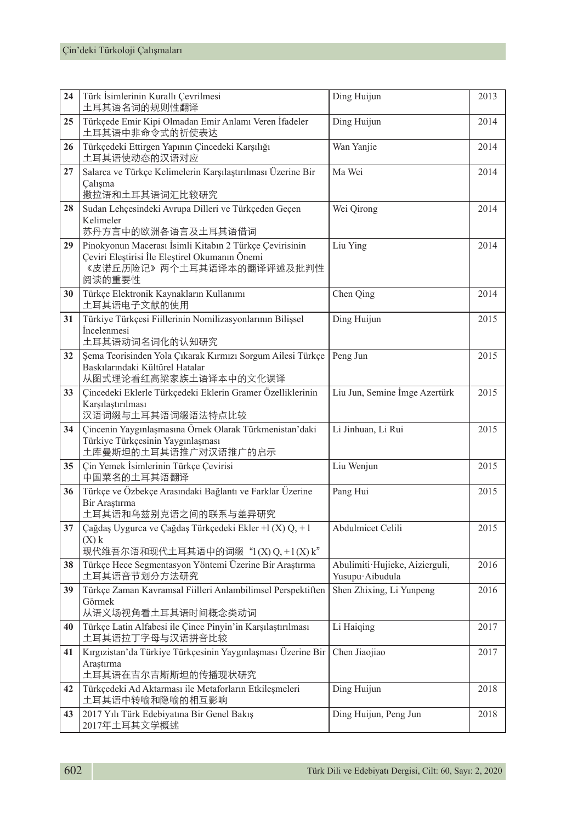| 24 | Türk İsimlerinin Kurallı Çevrilmesi<br>土耳其语名词的规则性翻译                                                                                              | Ding Huijun                                       | 2013 |
|----|--------------------------------------------------------------------------------------------------------------------------------------------------|---------------------------------------------------|------|
| 25 | Türkçede Emir Kipi Olmadan Emir Anlamı Veren İfadeler<br>土耳其语中非命令式的祈使表达                                                                          | Ding Huijun                                       | 2014 |
| 26 | Türkçedeki Ettirgen Yapının Çincedeki Karşılığı<br>土耳其语使动态的汉语对应                                                                                  | Wan Yanjie                                        | 2014 |
| 27 | Salarca ve Türkçe Kelimelerin Karşılaştırılması Üzerine Bir<br>Calışma<br>撒拉语和土耳其语词汇比较研究                                                         | Ma Wei                                            | 2014 |
| 28 | Sudan Lehçesindeki Avrupa Dilleri ve Türkçeden Geçen<br>Kelimeler<br>苏丹方言中的欧洲各语言及土耳其语借词                                                          | Wei Qirong                                        | 2014 |
| 29 | Pinokyonun Macerası İsimli Kitabın 2 Türkçe Çevirisinin<br>Çeviri Eleştirisi İle Eleştirel Okumanın Önemi<br>《皮诺丘历险记》两个土耳其语译本的翻译评述及批判性<br>阅读的重要性 | Liu Ying                                          | 2014 |
| 30 | Türkçe Elektronik Kaynakların Kullanımı<br>土耳其语电子文献的使用                                                                                           | Chen Qing                                         | 2014 |
| 31 | Türkiye Türkçesi Fiillerinin Nomilizasyonlarının Bilişsel<br><i>incelenmesi</i><br>土耳其语动词名词化的认知研究                                                | Ding Huijun                                       | 2015 |
| 32 | Şema Teorisinden Yola Çıkarak Kırmızı Sorgum Ailesi Türkçe<br>Baskılarındaki Kültürel Hatalar<br>从图式理论看红高粱家族土语译本中的文化误译                           | Peng Jun                                          | 2015 |
| 33 | Çincedeki Eklerle Türkçedeki Eklerin Gramer Özelliklerinin<br>Karsılastırılması<br>汉语词缀与土耳其语词缀语法特点比较                                             | Liu Jun, Semine İmge Azertürk                     | 2015 |
| 34 | Çincenin Yaygınlaşmasına Örnek Olarak Türkmenistan'daki<br>Türkiye Türkçesinin Yaygınlaşması<br>土库曼斯坦的土耳其语推广对汉语推广的启示                             | Li Jinhuan, Li Rui                                | 2015 |
| 35 | Çin Yemek İsimlerinin Türkçe Çevirisi<br>中国菜名的土耳其语翻译                                                                                             | Liu Wenjun                                        | 2015 |
| 36 | Türkçe ve Özbekçe Arasındaki Bağlantı ve Farklar Üzerine<br>Bir Araştırma<br>土耳其语和乌兹别克语之间的联系与差异研究                                                | Pang Hui                                          | 2015 |
| 37 | Çağdaş Uygurca ve Çağdaş Türkçedeki Ekler +l (X) Q, + l<br>$(X)$ k<br>现代维吾尔语和现代土耳其语中的词缀 " $l(X)Q, +l(X)k$ "                                      | Abdulmicet Celili                                 | 2015 |
| 38 | Türkçe Hece Segmentasyon Yöntemi Üzerine Bir Araştırma<br>土耳其语音节划分方法研究                                                                           | Abulimiti Hujieke, Aizierguli,<br>Yusupu Aibudula | 2016 |
| 39 | Türkçe Zaman Kavramsal Fiilleri Anlambilimsel Perspektiften<br>Görmek<br>从语义场视角看土耳其语时间概念类动词                                                      | Shen Zhixing, Li Yunpeng                          | 2016 |
|    | 40 Türkçe Latin Alfabesi ile Çince Pinyin'in Karşılaştırılması<br>土耳其语拉丁字母与汉语拼音比较                                                                | Li Haiqing                                        | 2017 |
| 41 | Kırgızistan'da Türkiye Türkçesinin Yaygınlaşması Üzerine Bir Chen Jiaojiao<br>Araştırma<br>土耳其语在吉尔吉斯斯坦的传播现状研究                                    |                                                   | 2017 |
| 42 | Türkçedeki Ad Aktarması ile Metaforların Etkileşmeleri<br>土耳其语中转喻和隐喻的相互影响                                                                        | Ding Huijun                                       | 2018 |
| 43 | 2017 Yılı Türk Edebiyatına Bir Genel Bakış<br>2017年土耳其文学概述                                                                                       | Ding Huijun, Peng Jun                             | 2018 |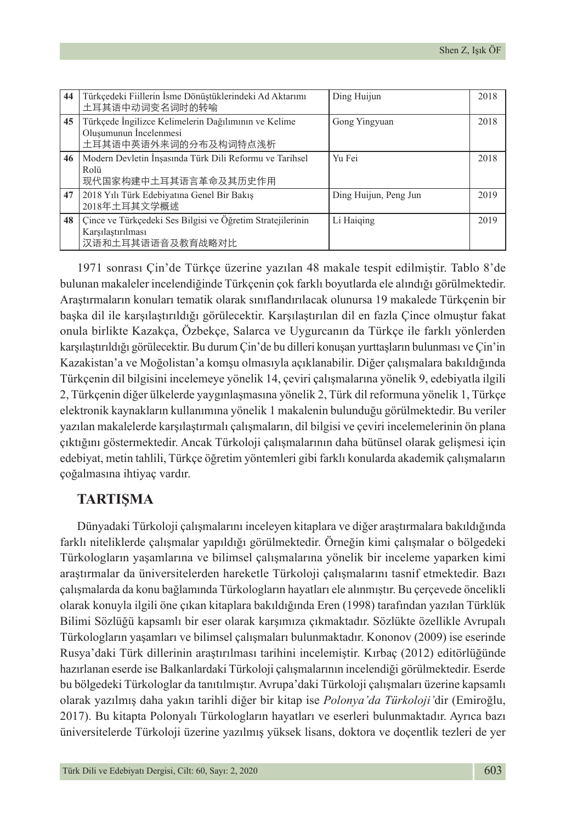| 44 | Türkçedeki Fiillerin İsme Dönüştüklerindeki Ad Aktarımı<br>土耳其语中动词变名词时的转喻                              | Ding Huijun           | 2018 |
|----|--------------------------------------------------------------------------------------------------------|-----------------------|------|
| 45 | Türkçede İngilizce Kelimelerin Dağılımının ve Kelime<br>Oluşumunun İncelenmesi<br>土耳其语中英语外来词的分布及构词特点浅析 | Gong Yingyuan         | 2018 |
| 46 | Modern Devletin İnsasında Türk Dili Reformu ve Tarihsel<br>Rolü<br>现代国家构建中土耳其语言革命及其历史作用                | Yu Fei                | 2018 |
| 47 | 2018 Yılı Türk Edebiyatına Genel Bir Bakış<br>2018年土耳其文学概述                                             | Ding Huijun, Peng Jun | 2019 |
| 48 | Çince ve Türkçedeki Ses Bilgisi ve Öğretim Stratejilerinin<br>Karşılaştırılması<br>汉语和土耳其语语音及教育战略对比    | Li Haiging            | 2019 |

1971 sonrası Çin'de Türkçe üzerine yazılan 48 makale tespit edilmiştir. Tablo 8'de bulunan makaleler incelendiğinde Türkçenin çok farklı boyutlarda ele alındığı görülmektedir. Araştırmaların konuları tematik olarak sınıflandırılacak olunursa 19 makalede Türkçenin bir başka dil ile karşılaştırıldığı görülecektir. Karşılaştırılan dil en fazla Çince olmuştur fakat onula birlikte Kazakça, Özbekçe, Salarca ve Uygurcanın da Türkçe ile farklı yönlerden karşılaştırıldığı görülecektir. Bu durum Çin'de bu dilleri konuşan yurttaşların bulunması ve Çin'in Kazakistan'a ve Moğolistan'a komşu olmasıyla açıklanabilir. Diğer çalışmalara bakıldığında Türkçenin dil bilgisini incelemeye yönelik 14, çeviri çalışmalarına yönelik 9, edebiyatla ilgili 2, Türkçenin diğer ülkelerde yaygınlaşmasına yönelik 2, Türk dil reformuna yönelik 1, Türkçe elektronik kaynakların kullanımına yönelik 1 makalenin bulunduğu görülmektedir. Bu veriler yazılan makalelerde karşılaştırmalı çalışmaların, dil bilgisi ve çeviri incelemelerinin ön plana çıktığını göstermektedir. Ancak Türkoloji çalışmalarının daha bütünsel olarak gelişmesi için edebiyat, metin tahlili, Türkçe öğretim yöntemleri gibi farklı konularda akademik çalışmaların çoğalmasına ihtiyaç vardır.

### **TARTIŞMA**

Dünyadaki Türkoloji çalışmalarını inceleyen kitaplara ve diğer araştırmalara bakıldığında farklı niteliklerde çalışmalar yapıldığı görülmektedir. Örneğin kimi çalışmalar o bölgedeki Türkologların yaşamlarına ve bilimsel çalışmalarına yönelik bir inceleme yaparken kimi araştırmalar da üniversitelerden hareketle Türkoloji çalışmalarını tasnif etmektedir. Bazı çalışmalarda da konu bağlamında Türkologların hayatları ele alınmıştır. Bu çerçevede öncelikli olarak konuyla ilgili öne çıkan kitaplara bakıldığında Eren (1998) tarafından yazılan Türklük Bilimi Sözlüğü kapsamlı bir eser olarak karşımıza çıkmaktadır. Sözlükte özellikle Avrupalı Türkologların yaşamları ve bilimsel çalışmaları bulunmaktadır. Kononov (2009) ise eserinde Rusya'daki Türk dillerinin araştırılması tarihini incelemiştir. Kırbaç (2012) editörlüğünde hazırlanan eserde ise Balkanlardaki Türkoloji çalışmalarının incelendiği görülmektedir. Eserde bu bölgedeki Türkologlar da tanıtılmıştır. Avrupa'daki Türkoloji çalışmaları üzerine kapsamlı olarak yazılmış daha yakın tarihli diğer bir kitap ise *Polonya'da Türkoloji'*dir (Emiroğlu, 2017). Bu kitapta Polonyalı Türkologların hayatları ve eserleri bulunmaktadır. Ayrıca bazı üniversitelerde Türkoloji üzerine yazılmış yüksek lisans, doktora ve doçentlik tezleri de yer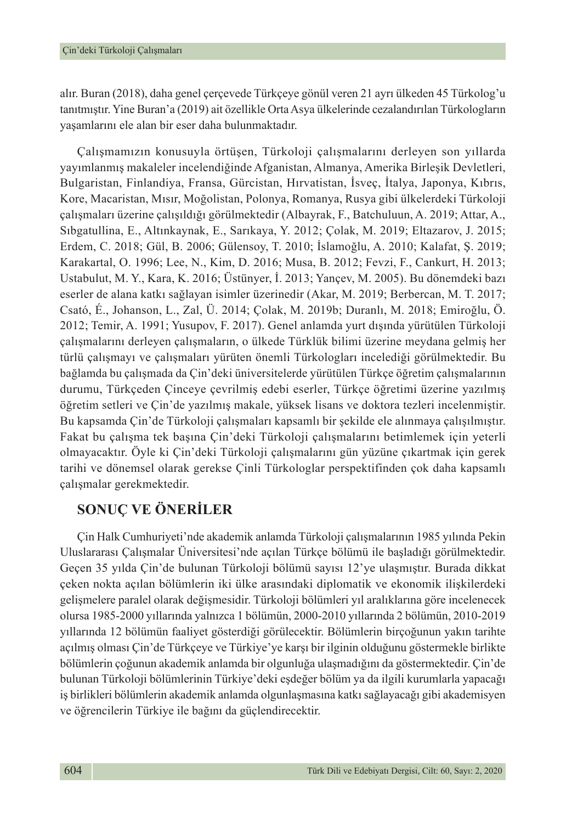alır. Buran (2018), daha genel çerçevede Türkçeye gönül veren 21 ayrı ülkeden 45 Türkolog'u tanıtmıştır. Yine Buran'a (2019) ait özellikle Orta Asya ülkelerinde cezalandırılan Türkologların yaşamlarını ele alan bir eser daha bulunmaktadır.

Çalışmamızın konusuyla örtüşen, Türkoloji çalışmalarını derleyen son yıllarda yayımlanmış makaleler incelendiğinde Afganistan, Almanya, Amerika Birleşik Devletleri, Bulgaristan, Finlandiya, Fransa, Gürcistan, Hırvatistan, İsveç, İtalya, Japonya, Kıbrıs, Kore, Macaristan, Mısır, Moğolistan, Polonya, Romanya, Rusya gibi ülkelerdeki Türkoloji çalışmaları üzerine çalışıldığı görülmektedir (Albayrak, F., Batchuluun, A. 2019; Attar, A., Sıbgatullina, E., Altınkaynak, E., Sarıkaya, Y. 2012; Çolak, M. 2019; Eltazarov, J. 2015; Erdem, C. 2018; Gül, B. 2006; Gülensoy, T. 2010; İslamoğlu, A. 2010; Kalafat, Ş. 2019; Karakartal, O. 1996; Lee, N., Kim, D. 2016; Musa, B. 2012; Fevzi, F., Cankurt, H. 2013; Ustabulut, M. Y., Kara, K. 2016; Üstünyer, İ. 2013; Yançev, M. 2005). Bu dönemdeki bazı eserler de alana katkı sağlayan isimler üzerinedir (Akar, M. 2019; Berbercan, M. T. 2017; Csató, É., Johanson, L., Zal, Ü. 2014; Çolak, M. 2019b; Duranlı, M. 2018; Emiroğlu, Ö. 2012; Temir, A. 1991; Yusupov, F. 2017). Genel anlamda yurt dışında yürütülen Türkoloji çalışmalarını derleyen çalışmaların, o ülkede Türklük bilimi üzerine meydana gelmiş her türlü çalışmayı ve çalışmaları yürüten önemli Türkologları incelediği görülmektedir. Bu bağlamda bu çalışmada da Çin'deki üniversitelerde yürütülen Türkçe öğretim çalışmalarının durumu, Türkçeden Çinceye çevrilmiş edebi eserler, Türkçe öğretimi üzerine yazılmış öğretim setleri ve Çin'de yazılmış makale, yüksek lisans ve doktora tezleri incelenmiştir. Bu kapsamda Çin'de Türkoloji çalışmaları kapsamlı bir şekilde ele alınmaya çalışılmıştır. Fakat bu çalışma tek başına Çin'deki Türkoloji çalışmalarını betimlemek için yeterli olmayacaktır. Öyle ki Çin'deki Türkoloji çalışmalarını gün yüzüne çıkartmak için gerek tarihi ve dönemsel olarak gerekse Çinli Türkologlar perspektifinden çok daha kapsamlı çalışmalar gerekmektedir.

## **SONUÇ VE ÖNERİLER**

Çin Halk Cumhuriyeti'nde akademik anlamda Türkoloji çalışmalarının 1985 yılında Pekin Uluslararası Çalışmalar Üniversitesi'nde açılan Türkçe bölümü ile başladığı görülmektedir. Geçen 35 yılda Çin'de bulunan Türkoloji bölümü sayısı 12'ye ulaşmıştır. Burada dikkat çeken nokta açılan bölümlerin iki ülke arasındaki diplomatik ve ekonomik ilişkilerdeki gelişmelere paralel olarak değişmesidir. Türkoloji bölümleri yıl aralıklarına göre incelenecek olursa 1985-2000 yıllarında yalnızca 1 bölümün, 2000-2010 yıllarında 2 bölümün, 2010-2019 yıllarında 12 bölümün faaliyet gösterdiği görülecektir. Bölümlerin birçoğunun yakın tarihte açılmış olması Çin'de Türkçeye ve Türkiye'ye karşı bir ilginin olduğunu göstermekle birlikte bölümlerin çoğunun akademik anlamda bir olgunluğa ulaşmadığını da göstermektedir. Çin'de bulunan Türkoloji bölümlerinin Türkiye'deki eşdeğer bölüm ya da ilgili kurumlarla yapacağı iş birlikleri bölümlerin akademik anlamda olgunlaşmasına katkı sağlayacağı gibi akademisyen ve öğrencilerin Türkiye ile bağını da güçlendirecektir.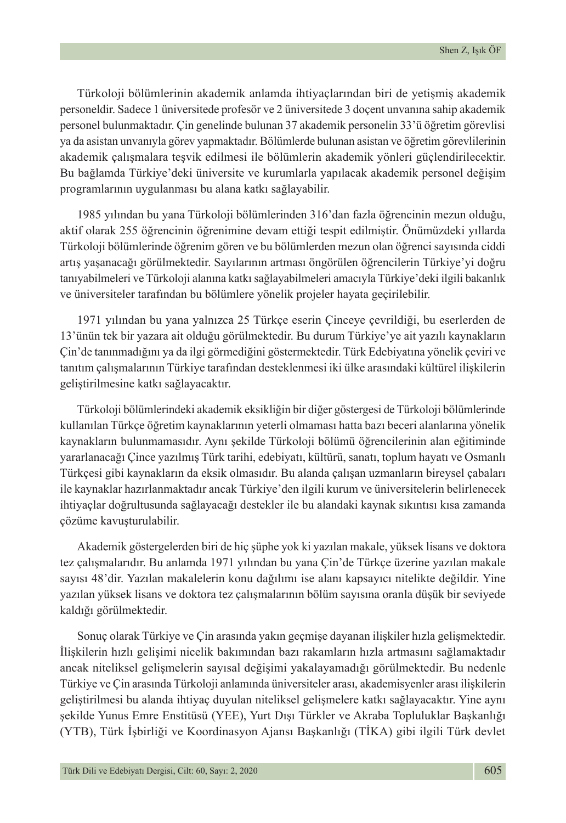Türkoloji bölümlerinin akademik anlamda ihtiyaçlarından biri de yetişmiş akademik personeldir. Sadece 1 üniversitede profesör ve 2 üniversitede 3 doçent unvanına sahip akademik personel bulunmaktadır. Çin genelinde bulunan 37 akademik personelin 33'ü öğretim görevlisi ya da asistan unvanıyla görev yapmaktadır. Bölümlerde bulunan asistan ve öğretim görevlilerinin akademik çalışmalara teşvik edilmesi ile bölümlerin akademik yönleri güçlendirilecektir. Bu bağlamda Türkiye'deki üniversite ve kurumlarla yapılacak akademik personel değişim programlarının uygulanması bu alana katkı sağlayabilir.

1985 yılından bu yana Türkoloji bölümlerinden 316'dan fazla öğrencinin mezun olduğu, aktif olarak 255 öğrencinin öğrenimine devam ettiği tespit edilmiştir. Önümüzdeki yıllarda Türkoloji bölümlerinde öğrenim gören ve bu bölümlerden mezun olan öğrenci sayısında ciddi artış yaşanacağı görülmektedir. Sayılarının artması öngörülen öğrencilerin Türkiye'yi doğru tanıyabilmeleri ve Türkoloji alanına katkı sağlayabilmeleri amacıyla Türkiye'deki ilgili bakanlık ve üniversiteler tarafından bu bölümlere yönelik projeler hayata geçirilebilir.

1971 yılından bu yana yalnızca 25 Türkçe eserin Çinceye çevrildiği, bu eserlerden de 13'ünün tek bir yazara ait olduğu görülmektedir. Bu durum Türkiye'ye ait yazılı kaynakların Çin'de tanınmadığını ya da ilgi görmediğini göstermektedir. Türk Edebiyatına yönelik çeviri ve tanıtım çalışmalarının Türkiye tarafından desteklenmesi iki ülke arasındaki kültürel ilişkilerin geliştirilmesine katkı sağlayacaktır.

Türkoloji bölümlerindeki akademik eksikliğin bir diğer göstergesi de Türkoloji bölümlerinde kullanılan Türkçe öğretim kaynaklarının yeterli olmaması hatta bazı beceri alanlarına yönelik kaynakların bulunmamasıdır. Aynı şekilde Türkoloji bölümü öğrencilerinin alan eğitiminde yararlanacağı Çince yazılmış Türk tarihi, edebiyatı, kültürü, sanatı, toplum hayatı ve Osmanlı Türkçesi gibi kaynakların da eksik olmasıdır. Bu alanda çalışan uzmanların bireysel çabaları ile kaynaklar hazırlanmaktadır ancak Türkiye'den ilgili kurum ve üniversitelerin belirlenecek ihtiyaçlar doğrultusunda sağlayacağı destekler ile bu alandaki kaynak sıkıntısı kısa zamanda çözüme kavuşturulabilir.

Akademik göstergelerden biri de hiç şüphe yok ki yazılan makale, yüksek lisans ve doktora tez çalışmalarıdır. Bu anlamda 1971 yılından bu yana Çin'de Türkçe üzerine yazılan makale sayısı 48'dir. Yazılan makalelerin konu dağılımı ise alanı kapsayıcı nitelikte değildir. Yine yazılan yüksek lisans ve doktora tez çalışmalarının bölüm sayısına oranla düşük bir seviyede kaldığı görülmektedir.

Sonuç olarak Türkiye ve Çin arasında yakın geçmişe dayanan ilişkiler hızla gelişmektedir. İlişkilerin hızlı gelişimi nicelik bakımından bazı rakamların hızla artmasını sağlamaktadır ancak niteliksel gelişmelerin sayısal değişimi yakalayamadığı görülmektedir. Bu nedenle Türkiye ve Çin arasında Türkoloji anlamında üniversiteler arası, akademisyenler arası ilişkilerin geliştirilmesi bu alanda ihtiyaç duyulan niteliksel gelişmelere katkı sağlayacaktır. Yine aynı şekilde Yunus Emre Enstitüsü (YEE), Yurt Dışı Türkler ve Akraba Topluluklar Başkanlığı (YTB), Türk İşbirliği ve Koordinasyon Ajansı Başkanlığı (TİKA) gibi ilgili Türk devlet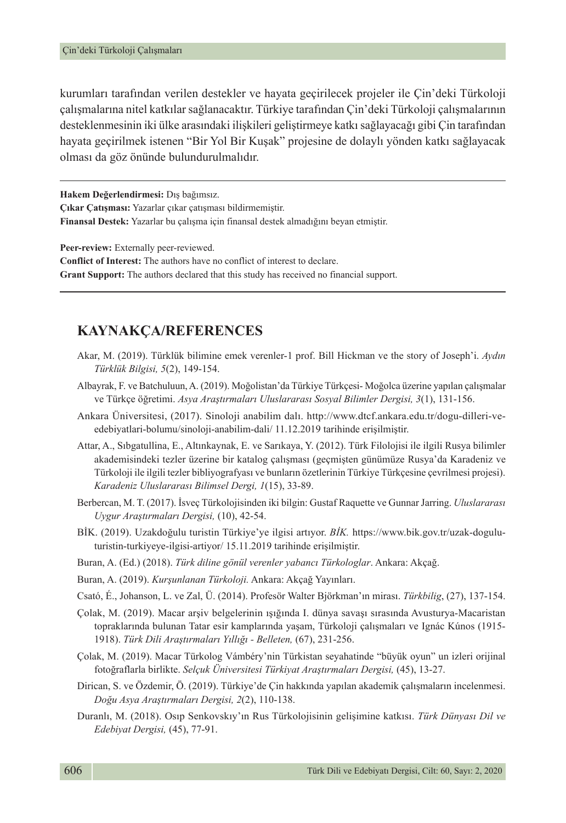kurumları tarafından verilen destekler ve hayata geçirilecek projeler ile Çin'deki Türkoloji çalışmalarına nitel katkılar sağlanacaktır. Türkiye tarafından Çin'deki Türkoloji çalışmalarının desteklenmesinin iki ülke arasındaki ilişkileri geliştirmeye katkı sağlayacağı gibi Çin tarafından hayata geçirilmek istenen "Bir Yol Bir Kuşak" projesine de dolaylı yönden katkı sağlayacak olması da göz önünde bulundurulmalıdır.

**Hakem Değerlendirmesi:** Dış bağımsız. **Çıkar Çatışması:** Yazarlar çıkar çatışması bildirmemiştir. **Finansal Destek:** Yazarlar bu çalışma için finansal destek almadığını beyan etmiştir.

**Peer-review:** Externally peer-reviewed. **Conflict of Interest:** The authors have no conflict of interest to declare.

**Grant Support:** The authors declared that this study has received no financial support.

### **KAYNAKÇA/REFERENCES**

- Akar, M. (2019). Türklük bilimine emek verenler-1 prof. Bill Hickman ve the story of Joseph'i. *Aydın Türklük Bilgisi, 5*(2), 149-154.
- Albayrak, F. ve Batchuluun, A. (2019). Moğolistan'da Türkiye Türkçesi- Moğolca üzerine yapılan çalışmalar ve Türkçe öğretimi. *Asya Araştırmaları Uluslararası Sosyal Bilimler Dergisi, 3*(1), 131-156.
- Ankara Üniversitesi, (2017). Sinoloji anabilim dalı. http://www.dtcf.ankara.edu.tr/dogu-dilleri-veedebiyatlari-bolumu/sinoloji-anabilim-dali/ 11.12.2019 tarihinde erişilmiştir.
- Attar, A., Sıbgatullina, E., Altınkaynak, E. ve Sarıkaya, Y. (2012). Türk Filolojisi ile ilgili Rusya bilimler akademisindeki tezler üzerine bir katalog çalışması (geçmişten günümüze Rusya'da Karadeniz ve Türkoloji ile ilgili tezler bibliyografyası ve bunların özetlerinin Türkiye Türkçesine çevrilmesi projesi). *Karadeniz Uluslararası Bilimsel Dergi, 1*(15), 33-89.
- Berbercan, M. T. (2017). İsveç Türkolojisinden iki bilgin: Gustaf Raquette ve Gunnar Jarring. *Uluslararası Uygur Araştırmaları Dergisi,* (10), 42-54.
- BİK. (2019). Uzakdoğulu turistin Türkiye'ye ilgisi artıyor. *BİK.* [https://www.bik.gov.tr/uzak-dogulu](https://www.bik.gov.tr/uzak-dogulu-turistin-turkiyeye-ilgisi-artiyor/)[turistin-turkiyeye-ilgisi-artiyor/](https://www.bik.gov.tr/uzak-dogulu-turistin-turkiyeye-ilgisi-artiyor/) 15.11.2019 tarihinde erişilmiştir.
- Buran, A. (Ed.) (2018). *Türk diline gönül verenler yabancı Türkologlar*. Ankara: Akçağ.
- Buran, A. (2019). *Kurşunlanan Türkoloji.* Ankara: Akçağ Yayınları.
- Csató, É., Johanson, L. ve Zal, Ü. (2014). Profesör Walter Björkman'ın mirası. *Türkbilig*, (27), 137-154.
- Çolak, M. (2019). Macar arşiv belgelerinin ışığında I. dünya savaşı sırasında Avusturya-Macaristan topraklarında bulunan Tatar esir kamplarında yaşam, Türkoloji çalışmaları ve Ignác Kúnos (1915- 1918). *Türk Dili Araştırmaları Yıllığı - Belleten,* (67), 231-256.
- Çolak, M. (2019). Macar Türkolog Vámbéry'nin Türkistan seyahatinde "büyük oyun" un izleri orijinal fotoğraflarla birlikte. *Selçuk Üniversitesi Türkiyat Araştırmaları Dergisi,* (45), 13-27.
- Dirican, S. ve Özdemir, Ö. (2019). Türkiye'de Çin hakkında yapılan akademik çalışmaların incelenmesi. *Doğu Asya Araştırmaları Dergisi, 2*(2), 110-138.
- Duranlı, M. (2018). Osıp Senkovskıy'ın Rus Türkolojisinin gelişimine katkısı. *Türk Dünyası Dil ve Edebiyat Dergisi,* (45), 77-91.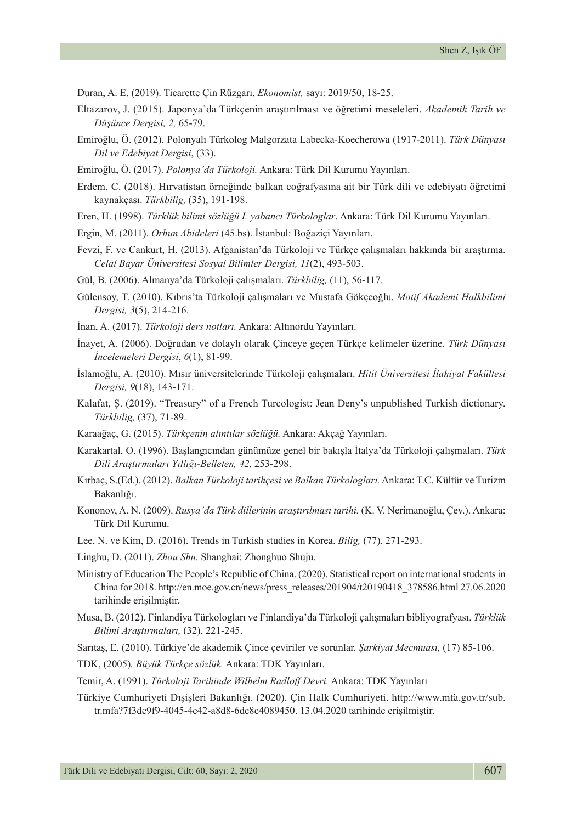Duran, A. E. (2019). Ticarette Çin Rüzgarı. *Ekonomist,* sayı: 2019/50, 18-25.

- Eltazarov, J. (2015). Japonya'da Türkçenin araştırılması ve öğretimi meseleleri. *Akademik Tarih ve Düşünce Dergisi, 2,* 65-79.
- Emiroğlu, Ö. (2012). Polonyalı Türkolog Malgorzata Labecka-Koecherowa (1917-2011). *Türk Dünyası Dil ve Edebiyat Dergisi*, (33).
- Emiroğlu, Ö. (2017). *Polonya'da Türkoloji.* Ankara: Türk Dil Kurumu Yayınları.
- Erdem, C. (2018). Hırvatistan örneğinde balkan coğrafyasına ait bir Türk dili ve edebiyatı öğretimi kaynakçası. *Türkbilig,* (35), 191-198.
- Eren, H. (1998). *Türklük bilimi sözlüğü I. yabancı Türkologlar*. Ankara: Türk Dil Kurumu Yayınları.
- Ergin, M. (2011). *Orhun Abideleri* (45.bs). İstanbul: Boğaziçi Yayınları.
- Fevzi, F. ve Cankurt, H. (2013). Afganistan'da Türkoloji ve Türkçe çalışmaları hakkında bir araştırma. *Celal Bayar Üniversitesi Sosyal Bilimler Dergisi, 11*(2), 493-503.
- Gül, B. (2006). Almanya'da Türkoloji çalışmaları. *Türkbilig,* (11), 56-117.
- Gülensoy, T. (2010). Kıbrıs'ta Türkoloji çalışmaları ve Mustafa Gökçeoğlu. *Motif Akademi Halkbilimi Dergisi, 3*(5), 214-216.
- İnan, A. (2017). *Türkoloji ders notları.* Ankara: Altınordu Yayınları.
- İnayet, A. (2006). Doğrudan ve dolaylı olarak Çinceye geçen Türkçe kelimeler üzerine. *Türk Dünyası İncelemeleri Dergisi*, *6*(1), 81-99.
- İslamoğlu, A. (2010). Mısır üniversitelerinde Türkoloji çalışmaları. *Hitit Üniversitesi İlahiyat Fakültesi Dergisi, 9*(18), 143-171.
- Kalafat, Ş. (2019). "Treasury" of a French Turcologist: Jean Deny's unpublished Turkish dictionary. *Türkbilig,* (37), 71-89.
- Karaağaç, G. (2015). *Türkçenin alıntılar sözlüğü.* Ankara: Akçağ Yayınları.
- Karakartal, O. (1996). Başlangıcından günümüze genel bir bakışla İtalya'da Türkoloji çalışmaları. *Türk Dili Araştırmaları Yıllığı-Belleten, 42,* 253-298.
- Kırbaç, S.(Ed.). (2012). *Balkan Türkoloji tarihçesi ve Balkan Türkologları.* Ankara: T.C. Kültür ve Turizm Bakanlığı.
- Kononov, A. N. (2009). *Rusya'da Türk dillerinin araştırılması tarihi.* (K. V. Nerimanoğlu, Çev.). Ankara: Türk Dil Kurumu.
- Lee, N. ve Kim, D. (2016). Trends in Turkish studies in Korea. *Bilig,* (77), 271-293.
- Linghu, D. (2011). *Zhou Shu.* Shanghai: Zhonghuo Shuju.
- Ministry of Education The People's Republic of China. (2020). Statistical report on international students in China for 2018. http://en.moe.gov.cn/news/press\_releases/201904/t20190418\_378586.html 27.06.2020 tarihinde erişilmiştir.
- Musa, B. (2012). Finlandiya Türkologları ve Finlandiya'da Türkoloji çalışmaları bibliyografyası. *Türklük Bilimi Araştırmaları,* (32), 221-245.
- Sarıtaş, E. (2010). Türkiye'de akademik Çince çeviriler ve sorunlar. *Şarkiyat Mecmuası,* (17) 85-106.

TDK, (2005)*. Büyük Türkçe sözlük.* Ankara: TDK Yayınları.

Temir, A. (1991). *Türkoloji Tarihinde Wilhelm Radloff Devri.* Ankara: TDK Yayınları

Türkiye Cumhuriyeti Dışişleri Bakanlığı. (2020). Çin Halk Cumhuriyeti. [http://www.mfa.gov.tr/sub.](http://www.mfa.gov.tr/sub.tr.mfa?7f3de9f9-4045-4e42-a8d8-6dc8c4089450) [tr.mfa?7f3de9f9-4045-4e42-a8d8-6dc8c4089450.](http://www.mfa.gov.tr/sub.tr.mfa?7f3de9f9-4045-4e42-a8d8-6dc8c4089450) 13.04.2020 tarihinde erişilmiştir.